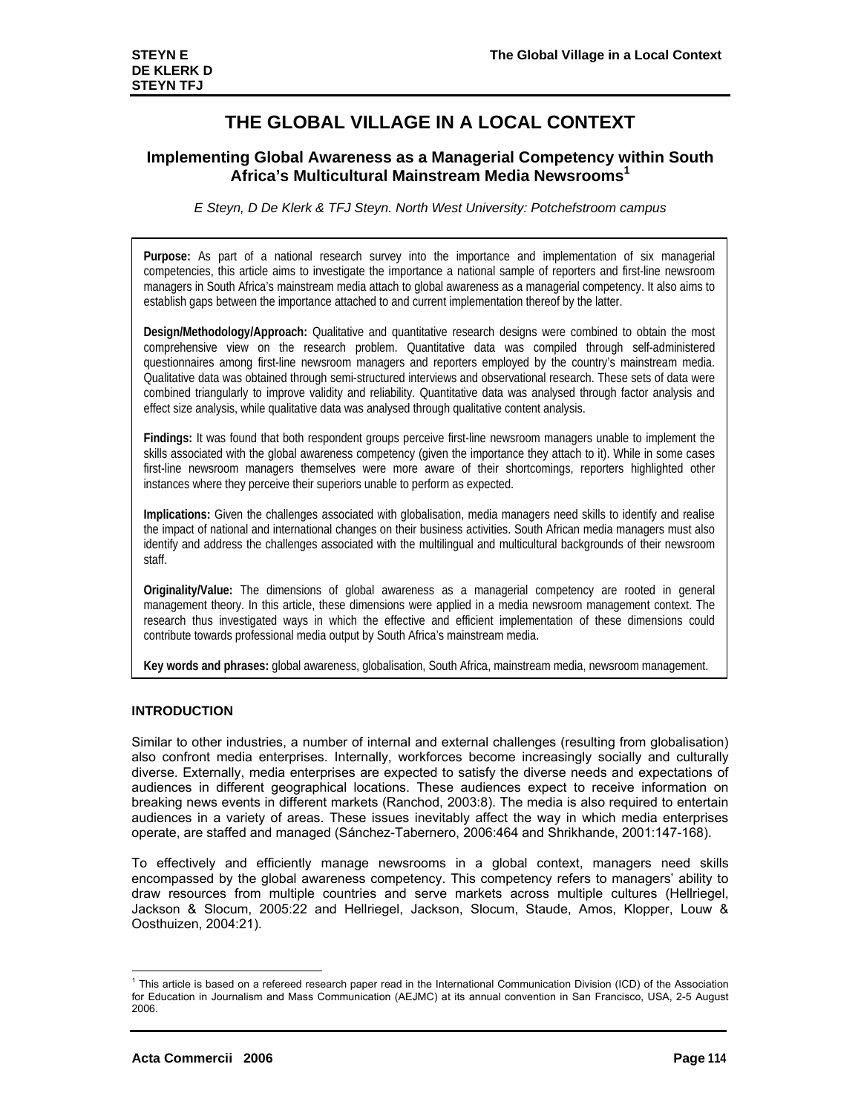# **THE GLOBAL VILLAGE IN A LOCAL CONTEXT**

# **Implementing Global Awareness as a Managerial Competency within South Africa's Multicultural Mainstream Media Newsrooms1**

*E Steyn, D De Klerk & TFJ Steyn. North West University: Potchefstroom campus* 

**Purpose:** As part of a national research survey into the importance and implementation of six managerial competencies, this article aims to investigate the importance a national sample of reporters and first-line newsroom managers in South Africa's mainstream media attach to global awareness as a managerial competency. It also aims to establish gaps between the importance attached to and current implementation thereof by the latter.

**Design/Methodology/Approach:** Qualitative and quantitative research designs were combined to obtain the most comprehensive view on the research problem. Quantitative data was compiled through self-administered questionnaires among first-line newsroom managers and reporters employed by the country's mainstream media. Qualitative data was obtained through semi-structured interviews and observational research. These sets of data were combined triangularly to improve validity and reliability. Quantitative data was analysed through factor analysis and effect size analysis, while qualitative data was analysed through qualitative content analysis.

**Findings:** It was found that both respondent groups perceive first-line newsroom managers unable to implement the skills associated with the global awareness competency (given the importance they attach to it). While in some cases first-line newsroom managers themselves were more aware of their shortcomings, reporters highlighted other instances where they perceive their superiors unable to perform as expected.

**Implications:** Given the challenges associated with globalisation, media managers need skills to identify and realise the impact of national and international changes on their business activities. South African media managers must also identify and address the challenges associated with the multilingual and multicultural backgrounds of their newsroom staff.

**Originality/Value:** The dimensions of global awareness as a managerial competency are rooted in general management theory. In this article, these dimensions were applied in a media newsroom management context. The research thus investigated ways in which the effective and efficient implementation of these dimensions could contribute towards professional media output by South Africa's mainstream media.

**Key words and phrases:** global awareness, globalisation, South Africa, mainstream media, newsroom management.

# **INTRODUCTION**

Similar to other industries, a number of internal and external challenges (resulting from globalisation) also confront media enterprises. Internally, workforces become increasingly socially and culturally diverse. Externally, media enterprises are expected to satisfy the diverse needs and expectations of audiences in different geographical locations. These audiences expect to receive information on breaking news events in different markets (Ranchod, 2003:8). The media is also required to entertain audiences in a variety of areas. These issues inevitably affect the way in which media enterprises operate, are staffed and managed (Sánchez-Tabernero, 2006:464 and Shrikhande, 2001:147-168).

To effectively and efficiently manage newsrooms in a global context, managers need skills encompassed by the global awareness competency. This competency refers to managers' ability to draw resources from multiple countries and serve markets across multiple cultures (Hellriegel, Jackson & Slocum, 2005:22 and Hellriegel, Jackson, Slocum, Staude, Amos, Klopper, Louw & Oosthuizen, 2004:21).

-

<sup>&</sup>lt;sup>1</sup> This article is based on a refereed research paper read in the International Communication Division (ICD) of the Association for Education in Journalism and Mass Communication (AEJMC) at its annual convention in San Francisco, USA, 2-5 August 2006.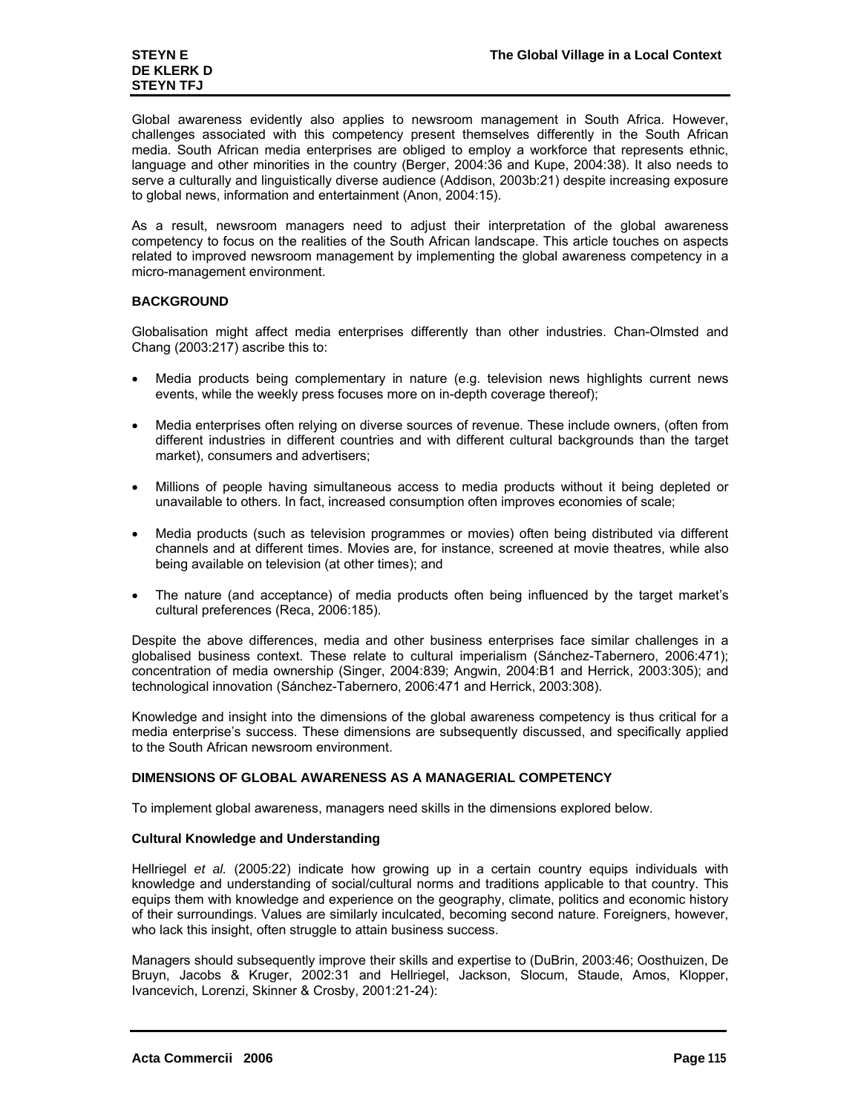Global awareness evidently also applies to newsroom management in South Africa. However, challenges associated with this competency present themselves differently in the South African media. South African media enterprises are obliged to employ a workforce that represents ethnic, language and other minorities in the country (Berger, 2004:36 and Kupe, 2004:38). It also needs to serve a culturally and linguistically diverse audience (Addison, 2003b:21) despite increasing exposure to global news, information and entertainment (Anon, 2004:15).

As a result, newsroom managers need to adjust their interpretation of the global awareness competency to focus on the realities of the South African landscape. This article touches on aspects related to improved newsroom management by implementing the global awareness competency in a micro-management environment.

# **BACKGROUND**

Globalisation might affect media enterprises differently than other industries. Chan-Olmsted and Chang (2003:217) ascribe this to:

- Media products being complementary in nature (e.g. television news highlights current news events, while the weekly press focuses more on in-depth coverage thereof);
- Media enterprises often relying on diverse sources of revenue. These include owners, (often from different industries in different countries and with different cultural backgrounds than the target market), consumers and advertisers;
- Millions of people having simultaneous access to media products without it being depleted or unavailable to others. In fact, increased consumption often improves economies of scale;
- Media products (such as television programmes or movies) often being distributed via different channels and at different times. Movies are, for instance, screened at movie theatres, while also being available on television (at other times); and
- The nature (and acceptance) of media products often being influenced by the target market's cultural preferences (Reca, 2006:185).

Despite the above differences, media and other business enterprises face similar challenges in a globalised business context. These relate to cultural imperialism (Sánchez-Tabernero, 2006:471); concentration of media ownership (Singer, 2004:839; Angwin, 2004:B1 and Herrick, 2003:305); and technological innovation (Sánchez-Tabernero, 2006:471 and Herrick, 2003:308).

Knowledge and insight into the dimensions of the global awareness competency is thus critical for a media enterprise's success. These dimensions are subsequently discussed, and specifically applied to the South African newsroom environment.

# **DIMENSIONS OF GLOBAL AWARENESS AS A MANAGERIAL COMPETENCY**

To implement global awareness, managers need skills in the dimensions explored below.

# **Cultural Knowledge and Understanding**

Hellriegel *et al.* (2005:22) indicate how growing up in a certain country equips individuals with knowledge and understanding of social/cultural norms and traditions applicable to that country. This equips them with knowledge and experience on the geography, climate, politics and economic history of their surroundings. Values are similarly inculcated, becoming second nature. Foreigners, however, who lack this insight, often struggle to attain business success.

Managers should subsequently improve their skills and expertise to (DuBrin, 2003:46; Oosthuizen, De Bruyn, Jacobs & Kruger, 2002:31 and Hellriegel, Jackson, Slocum, Staude, Amos, Klopper, Ivancevich, Lorenzi, Skinner & Crosby, 2001:21-24):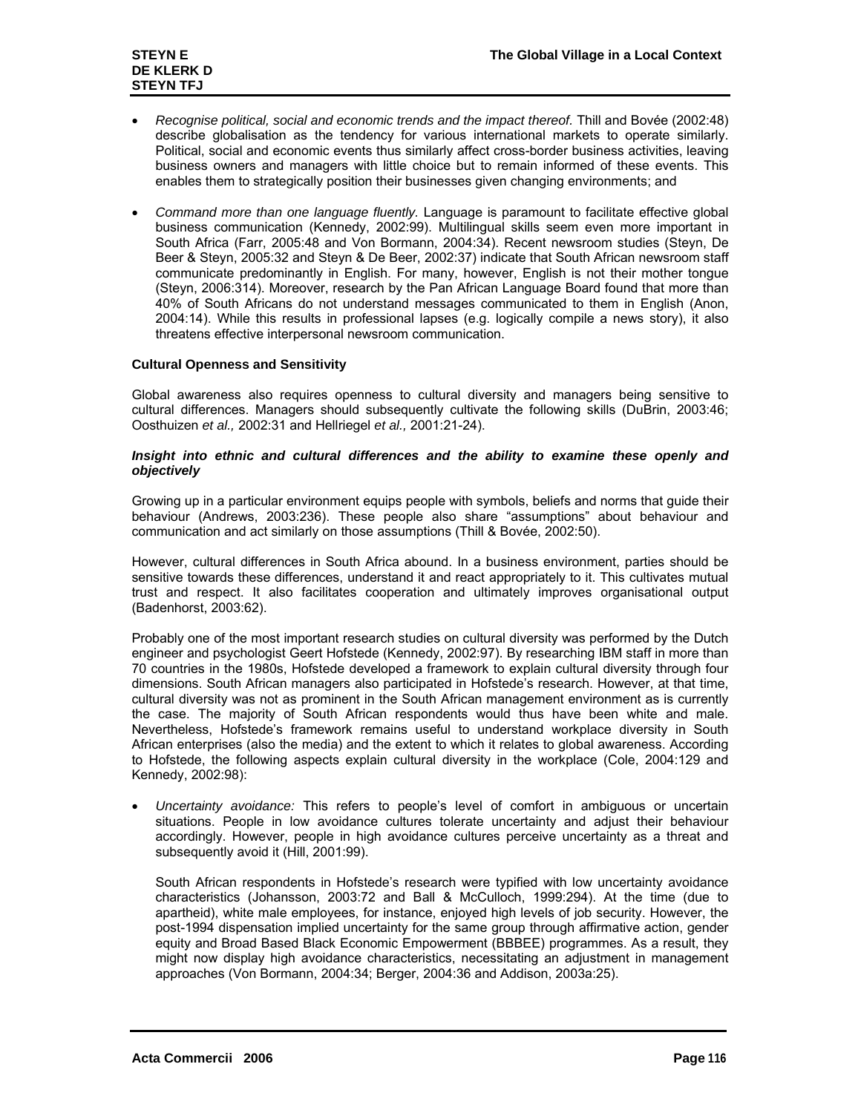- *Recognise political, social and economic trends and the impact thereof.* Thill and Bovée (2002:48) describe globalisation as the tendency for various international markets to operate similarly. Political, social and economic events thus similarly affect cross-border business activities, leaving business owners and managers with little choice but to remain informed of these events. This enables them to strategically position their businesses given changing environments; and
- *Command more than one language fluently.* Language is paramount to facilitate effective global business communication (Kennedy, 2002:99). Multilingual skills seem even more important in South Africa (Farr, 2005:48 and Von Bormann, 2004:34). Recent newsroom studies (Steyn, De Beer & Steyn, 2005:32 and Steyn & De Beer, 2002:37) indicate that South African newsroom staff communicate predominantly in English. For many, however, English is not their mother tongue (Steyn, 2006:314). Moreover, research by the Pan African Language Board found that more than 40% of South Africans do not understand messages communicated to them in English (Anon, 2004:14). While this results in professional lapses (e.g. logically compile a news story), it also threatens effective interpersonal newsroom communication.

# **Cultural Openness and Sensitivity**

Global awareness also requires openness to cultural diversity and managers being sensitive to cultural differences. Managers should subsequently cultivate the following skills (DuBrin, 2003:46; Oosthuizen *et al.,* 2002:31 and Hellriegel *et al.,* 2001:21-24).

# *Insight into ethnic and cultural differences and the ability to examine these openly and objectively*

Growing up in a particular environment equips people with symbols, beliefs and norms that guide their behaviour (Andrews, 2003:236). These people also share "assumptions" about behaviour and communication and act similarly on those assumptions (Thill & Bovée, 2002:50).

However, cultural differences in South Africa abound. In a business environment, parties should be sensitive towards these differences, understand it and react appropriately to it. This cultivates mutual trust and respect. It also facilitates cooperation and ultimately improves organisational output (Badenhorst, 2003:62).

Probably one of the most important research studies on cultural diversity was performed by the Dutch engineer and psychologist Geert Hofstede (Kennedy, 2002:97). By researching IBM staff in more than 70 countries in the 1980s, Hofstede developed a framework to explain cultural diversity through four dimensions. South African managers also participated in Hofstede's research. However, at that time, cultural diversity was not as prominent in the South African management environment as is currently the case. The majority of South African respondents would thus have been white and male. Nevertheless, Hofstede's framework remains useful to understand workplace diversity in South African enterprises (also the media) and the extent to which it relates to global awareness. According to Hofstede, the following aspects explain cultural diversity in the workplace (Cole, 2004:129 and Kennedy, 2002:98):

• *Uncertainty avoidance:* This refers to people's level of comfort in ambiguous or uncertain situations. People in low avoidance cultures tolerate uncertainty and adjust their behaviour accordingly. However, people in high avoidance cultures perceive uncertainty as a threat and subsequently avoid it (Hill, 2001:99).

South African respondents in Hofstede's research were typified with low uncertainty avoidance characteristics (Johansson, 2003:72 and Ball & McCulloch, 1999:294). At the time (due to apartheid), white male employees, for instance, enjoyed high levels of job security. However, the post-1994 dispensation implied uncertainty for the same group through affirmative action, gender equity and Broad Based Black Economic Empowerment (BBBEE) programmes. As a result, they might now display high avoidance characteristics, necessitating an adjustment in management approaches (Von Bormann, 2004:34; Berger, 2004:36 and Addison, 2003a:25).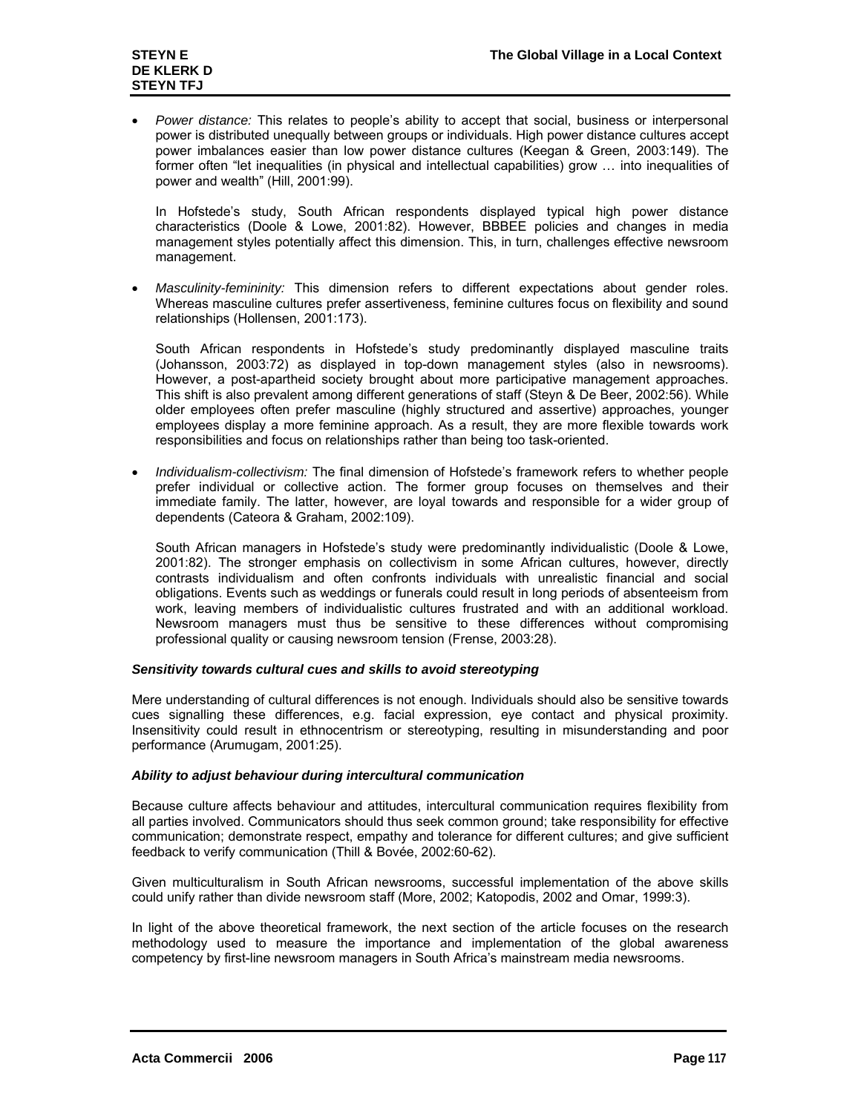• *Power distance:* This relates to people's ability to accept that social, business or interpersonal power is distributed unequally between groups or individuals. High power distance cultures accept power imbalances easier than low power distance cultures (Keegan & Green, 2003:149). The former often "let inequalities (in physical and intellectual capabilities) grow … into inequalities of power and wealth" (Hill, 2001:99).

In Hofstede's study, South African respondents displayed typical high power distance characteristics (Doole & Lowe, 2001:82). However, BBBEE policies and changes in media management styles potentially affect this dimension. This, in turn, challenges effective newsroom management.

• *Masculinity-femininity:* This dimension refers to different expectations about gender roles. Whereas masculine cultures prefer assertiveness, feminine cultures focus on flexibility and sound relationships (Hollensen, 2001:173).

South African respondents in Hofstede's study predominantly displayed masculine traits (Johansson, 2003:72) as displayed in top-down management styles (also in newsrooms). However, a post-apartheid society brought about more participative management approaches. This shift is also prevalent among different generations of staff (Steyn & De Beer, 2002:56). While older employees often prefer masculine (highly structured and assertive) approaches, younger employees display a more feminine approach. As a result, they are more flexible towards work responsibilities and focus on relationships rather than being too task-oriented.

• *Individualism-collectivism:* The final dimension of Hofstede's framework refers to whether people prefer individual or collective action. The former group focuses on themselves and their immediate family. The latter, however, are loyal towards and responsible for a wider group of dependents (Cateora & Graham, 2002:109).

South African managers in Hofstede's study were predominantly individualistic (Doole & Lowe, 2001:82). The stronger emphasis on collectivism in some African cultures, however, directly contrasts individualism and often confronts individuals with unrealistic financial and social obligations. Events such as weddings or funerals could result in long periods of absenteeism from work, leaving members of individualistic cultures frustrated and with an additional workload. Newsroom managers must thus be sensitive to these differences without compromising professional quality or causing newsroom tension (Frense, 2003:28).

## *Sensitivity towards cultural cues and skills to avoid stereotyping*

Mere understanding of cultural differences is not enough. Individuals should also be sensitive towards cues signalling these differences, e.g. facial expression, eye contact and physical proximity. Insensitivity could result in ethnocentrism or stereotyping, resulting in misunderstanding and poor performance (Arumugam, 2001:25).

## *Ability to adjust behaviour during intercultural communication*

Because culture affects behaviour and attitudes, intercultural communication requires flexibility from all parties involved. Communicators should thus seek common ground; take responsibility for effective communication; demonstrate respect, empathy and tolerance for different cultures; and give sufficient feedback to verify communication (Thill & Bovée, 2002:60-62).

Given multiculturalism in South African newsrooms, successful implementation of the above skills could unify rather than divide newsroom staff (More, 2002; Katopodis, 2002 and Omar, 1999:3).

In light of the above theoretical framework, the next section of the article focuses on the research methodology used to measure the importance and implementation of the global awareness competency by first-line newsroom managers in South Africa's mainstream media newsrooms.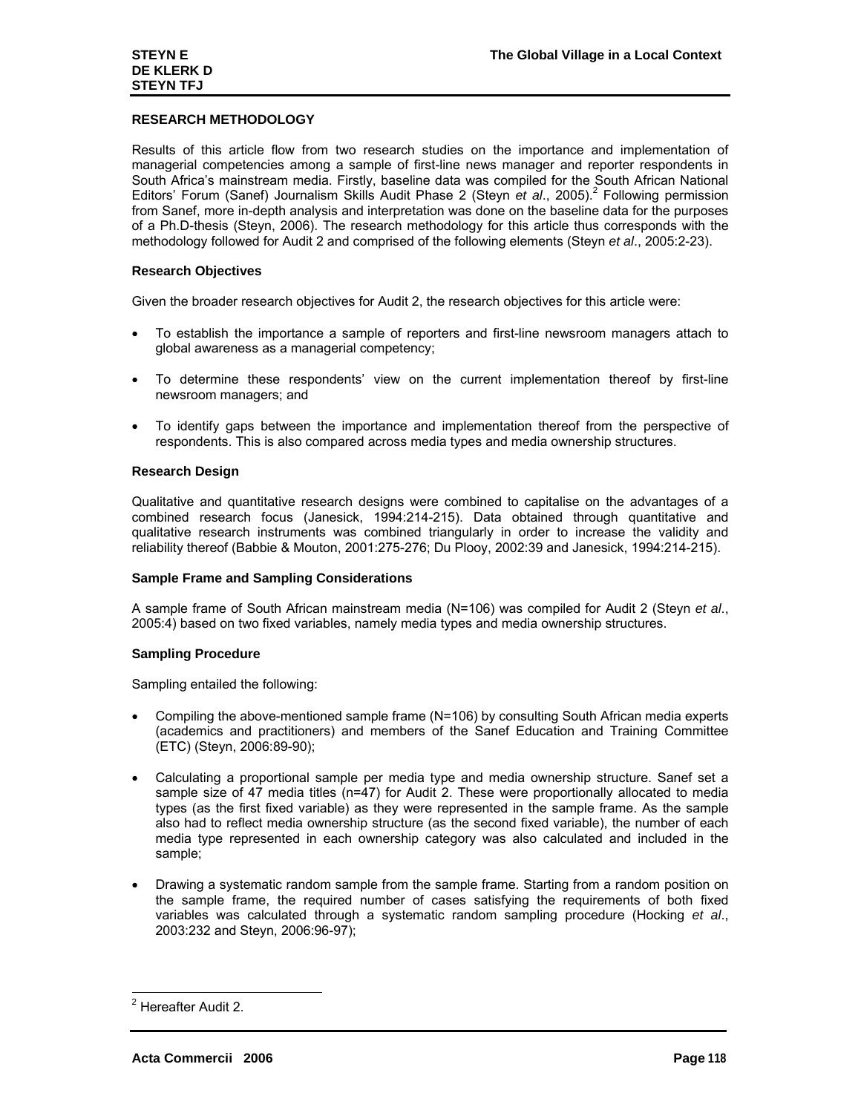# **RESEARCH METHODOLOGY**

Results of this article flow from two research studies on the importance and implementation of managerial competencies among a sample of first-line news manager and reporter respondents in South Africa's mainstream media. Firstly, baseline data was compiled for the South African National Editors' Forum (Sanef) Journalism Skills Audit Phase 2 (Steyn et al., 2005).<sup>2</sup> Following permission from Sanef, more in-depth analysis and interpretation was done on the baseline data for the purposes of a Ph.D-thesis (Steyn, 2006). The research methodology for this article thus corresponds with the methodology followed for Audit 2 and comprised of the following elements (Steyn *et al*., 2005:2-23).

## **Research Objectives**

Given the broader research objectives for Audit 2, the research objectives for this article were:

- To establish the importance a sample of reporters and first-line newsroom managers attach to global awareness as a managerial competency;
- To determine these respondents' view on the current implementation thereof by first-line newsroom managers; and
- To identify gaps between the importance and implementation thereof from the perspective of respondents. This is also compared across media types and media ownership structures.

## **Research Design**

Qualitative and quantitative research designs were combined to capitalise on the advantages of a combined research focus (Janesick, 1994:214-215). Data obtained through quantitative and qualitative research instruments was combined triangularly in order to increase the validity and reliability thereof (Babbie & Mouton, 2001:275-276; Du Plooy, 2002:39 and Janesick, 1994:214-215).

## **Sample Frame and Sampling Considerations**

A sample frame of South African mainstream media (N=106) was compiled for Audit 2 (Steyn *et al*., 2005:4) based on two fixed variables, namely media types and media ownership structures.

## **Sampling Procedure**

Sampling entailed the following:

- Compiling the above-mentioned sample frame (N=106) by consulting South African media experts (academics and practitioners) and members of the Sanef Education and Training Committee (ETC) (Steyn, 2006:89-90);
- Calculating a proportional sample per media type and media ownership structure. Sanef set a sample size of 47 media titles (n=47) for Audit 2. These were proportionally allocated to media types (as the first fixed variable) as they were represented in the sample frame. As the sample also had to reflect media ownership structure (as the second fixed variable), the number of each media type represented in each ownership category was also calculated and included in the sample;
- Drawing a systematic random sample from the sample frame. Starting from a random position on the sample frame, the required number of cases satisfying the requirements of both fixed variables was calculated through a systematic random sampling procedure (Hocking *et al*., 2003:232 and Steyn, 2006:96-97);

<sup>&</sup>lt;u>-</u><br><sup>2</sup> Hereafter Audit 2.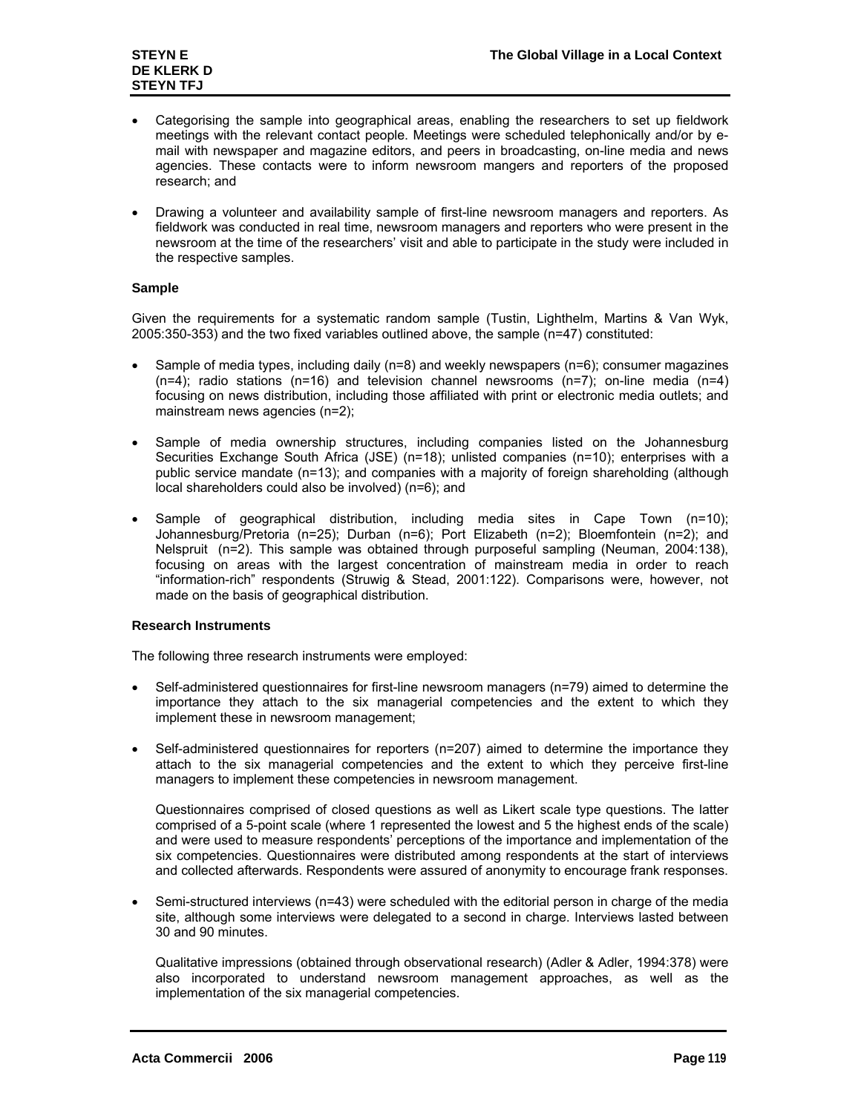- Categorising the sample into geographical areas, enabling the researchers to set up fieldwork meetings with the relevant contact people. Meetings were scheduled telephonically and/or by email with newspaper and magazine editors, and peers in broadcasting, on-line media and news agencies. These contacts were to inform newsroom mangers and reporters of the proposed research; and
- Drawing a volunteer and availability sample of first-line newsroom managers and reporters. As fieldwork was conducted in real time, newsroom managers and reporters who were present in the newsroom at the time of the researchers' visit and able to participate in the study were included in the respective samples.

# **Sample**

Given the requirements for a systematic random sample (Tustin, Lighthelm, Martins & Van Wyk, 2005:350-353) and the two fixed variables outlined above, the sample (n=47) constituted:

- Sample of media types, including daily (n=8) and weekly newspapers (n=6); consumer magazines  $(n=4)$ ; radio stations  $(n=16)$  and television channel newsrooms  $(n=7)$ ; on-line media  $(n=4)$ focusing on news distribution, including those affiliated with print or electronic media outlets; and mainstream news agencies (n=2);
- Sample of media ownership structures, including companies listed on the Johannesburg Securities Exchange South Africa (JSE) (n=18); unlisted companies (n=10); enterprises with a public service mandate (n=13); and companies with a majority of foreign shareholding (although local shareholders could also be involved) (n=6); and
- Sample of geographical distribution, including media sites in Cape Town (n=10); Johannesburg/Pretoria (n=25); Durban (n=6); Port Elizabeth (n=2); Bloemfontein (n=2); and Nelspruit (n=2). This sample was obtained through purposeful sampling (Neuman, 2004:138), focusing on areas with the largest concentration of mainstream media in order to reach "information-rich" respondents (Struwig & Stead, 2001:122). Comparisons were, however, not made on the basis of geographical distribution.

# **Research Instruments**

The following three research instruments were employed:

- Self-administered questionnaires for first-line newsroom managers (n=79) aimed to determine the importance they attach to the six managerial competencies and the extent to which they implement these in newsroom management;
- Self-administered questionnaires for reporters (n=207) aimed to determine the importance they attach to the six managerial competencies and the extent to which they perceive first-line managers to implement these competencies in newsroom management.

Questionnaires comprised of closed questions as well as Likert scale type questions. The latter comprised of a 5-point scale (where 1 represented the lowest and 5 the highest ends of the scale) and were used to measure respondents' perceptions of the importance and implementation of the six competencies. Questionnaires were distributed among respondents at the start of interviews and collected afterwards. Respondents were assured of anonymity to encourage frank responses.

• Semi-structured interviews (n=43) were scheduled with the editorial person in charge of the media site, although some interviews were delegated to a second in charge. Interviews lasted between 30 and 90 minutes.

Qualitative impressions (obtained through observational research) (Adler & Adler, 1994:378) were also incorporated to understand newsroom management approaches, as well as the implementation of the six managerial competencies.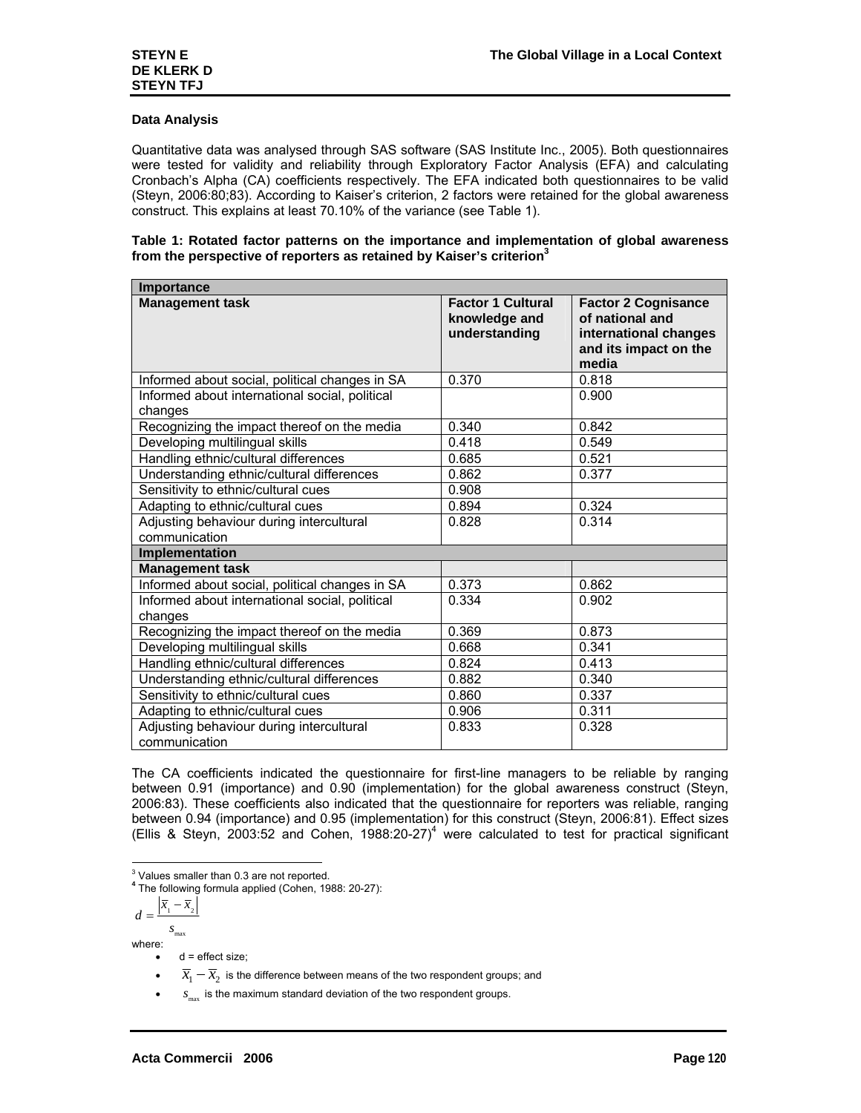## **Data Analysis**

Quantitative data was analysed through SAS software (SAS Institute Inc., 2005). Both questionnaires were tested for validity and reliability through Exploratory Factor Analysis (EFA) and calculating Cronbach's Alpha (CA) coefficients respectively. The EFA indicated both questionnaires to be valid (Steyn, 2006:80;83). According to Kaiser's criterion, 2 factors were retained for the global awareness construct. This explains at least 70.10% of the variance (see Table 1).

#### **Table 1: Rotated factor patterns on the importance and implementation of global awareness from the perspective of reporters as retained by Kaiser's criterion3**

| Importance                                                |                                                            |                                                                                                          |  |  |
|-----------------------------------------------------------|------------------------------------------------------------|----------------------------------------------------------------------------------------------------------|--|--|
| <b>Management task</b>                                    | <b>Factor 1 Cultural</b><br>knowledge and<br>understanding | <b>Factor 2 Cognisance</b><br>of national and<br>international changes<br>and its impact on the<br>media |  |  |
| Informed about social, political changes in SA            | 0.370                                                      | 0.818                                                                                                    |  |  |
| Informed about international social, political<br>changes |                                                            | 0.900                                                                                                    |  |  |
| Recognizing the impact thereof on the media               | 0.340                                                      | 0.842                                                                                                    |  |  |
| Developing multilingual skills                            | 0.418                                                      | 0.549                                                                                                    |  |  |
| Handling ethnic/cultural differences                      | 0.685                                                      | 0.521                                                                                                    |  |  |
| Understanding ethnic/cultural differences                 | 0.862                                                      | 0.377                                                                                                    |  |  |
| Sensitivity to ethnic/cultural cues                       | 0.908                                                      |                                                                                                          |  |  |
| Adapting to ethnic/cultural cues                          | 0.894                                                      | 0.324                                                                                                    |  |  |
| Adjusting behaviour during intercultural                  | 0.828                                                      | 0.314                                                                                                    |  |  |
| communication                                             |                                                            |                                                                                                          |  |  |
| Implementation                                            |                                                            |                                                                                                          |  |  |
| <b>Management task</b>                                    |                                                            |                                                                                                          |  |  |
| Informed about social, political changes in SA            | 0.373                                                      | 0.862                                                                                                    |  |  |
| Informed about international social, political            | 0.334                                                      | 0.902                                                                                                    |  |  |
| changes                                                   |                                                            |                                                                                                          |  |  |
| Recognizing the impact thereof on the media               | 0.369                                                      | 0.873                                                                                                    |  |  |
| Developing multilingual skills                            | 0.668                                                      | 0.341                                                                                                    |  |  |
| Handling ethnic/cultural differences                      | 0.824                                                      | 0.413                                                                                                    |  |  |
| Understanding ethnic/cultural differences                 | 0.882                                                      | 0.340                                                                                                    |  |  |
| Sensitivity to ethnic/cultural cues                       | 0.860                                                      | 0.337                                                                                                    |  |  |
| Adapting to ethnic/cultural cues                          | 0.906                                                      | 0.311                                                                                                    |  |  |
| Adjusting behaviour during intercultural<br>communication | 0.833                                                      | 0.328                                                                                                    |  |  |

The CA coefficients indicated the questionnaire for first-line managers to be reliable by ranging between 0.91 (importance) and 0.90 (implementation) for the global awareness construct (Steyn, 2006:83). These coefficients also indicated that the questionnaire for reporters was reliable, ranging between 0.94 (importance) and 0.95 (implementation) for this construct (Steyn, 2006:81). Effect sizes (Ellis & Steyn, 2003:52 and Cohen, 1988:20-27)<sup>4</sup> were calculated to test for practical significant

3 Values smaller than 0.3 are not reported.

**<sup>4</sup>** The following formula applied (Cohen, 1988: 20-27):

$$
d = \frac{\left| \overline{x}_1 - \overline{x}_2 \right|}{s_{\max}}
$$

where:

 $d =$  effect size;

 $\overline{x}_1 - \overline{x}_2$  is the difference between means of the two respondent groups; and

 $s_{\text{max}}$  is the maximum standard deviation of the two respondent groups.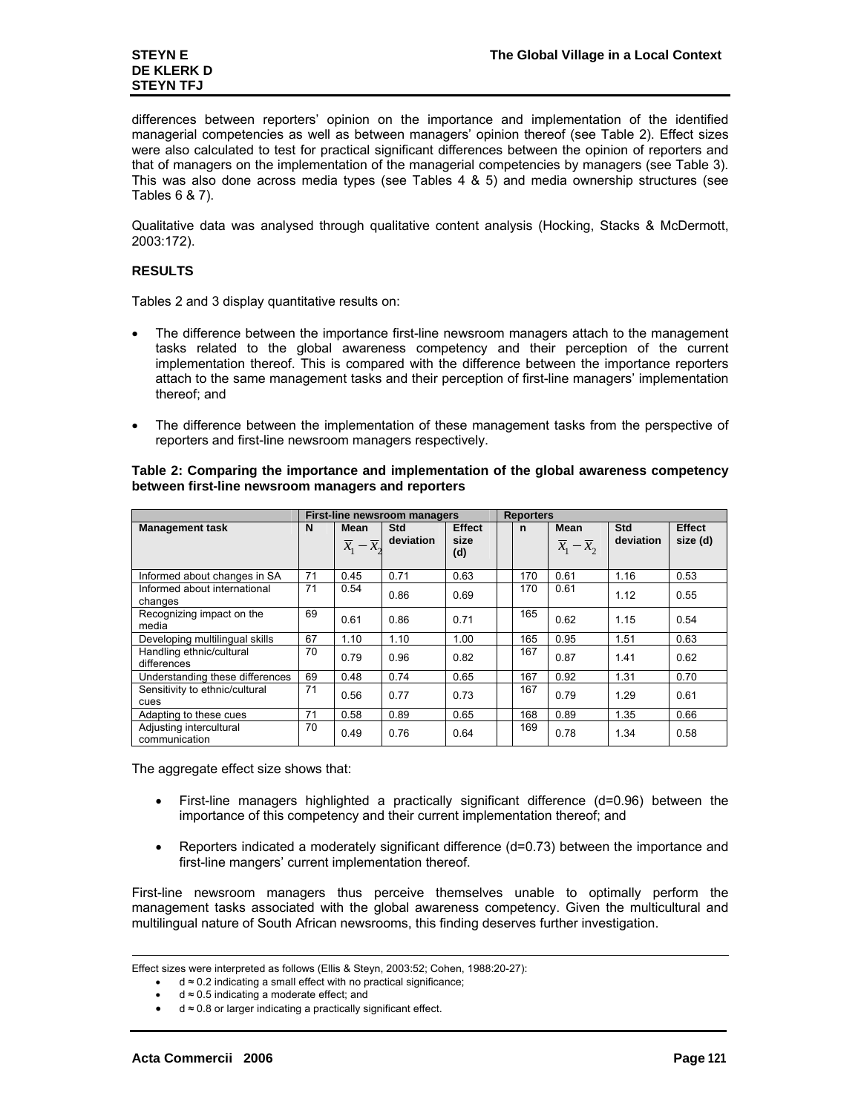# **DE KLERK D STEYN TFJ**

differences between reporters' opinion on the importance and implementation of the identified managerial competencies as well as between managers' opinion thereof (see Table 2). Effect sizes were also calculated to test for practical significant differences between the opinion of reporters and that of managers on the implementation of the managerial competencies by managers (see Table 3). This was also done across media types (see Tables 4 & 5) and media ownership structures (see Tables 6 & 7).

Qualitative data was analysed through qualitative content analysis (Hocking, Stacks & McDermott, 2003:172).

# **RESULTS**

Tables 2 and 3 display quantitative results on:

- The difference between the importance first-line newsroom managers attach to the management tasks related to the global awareness competency and their perception of the current implementation thereof. This is compared with the difference between the importance reporters attach to the same management tasks and their perception of first-line managers' implementation thereof; and
- The difference between the implementation of these management tasks from the perspective of reporters and first-line newsroom managers respectively.

|                                          |    | First-line newsroom managers                     |                         |                              |  |     | <b>Reporters</b>                          |                  |                           |
|------------------------------------------|----|--------------------------------------------------|-------------------------|------------------------------|--|-----|-------------------------------------------|------------------|---------------------------|
| <b>Management task</b>                   | N  | <b>Mean</b><br>$\overline{x}_1 - \overline{x}_2$ | <b>Std</b><br>deviation | <b>Effect</b><br>size<br>(d) |  | n   | Mean<br>$\overline{x}_1 - \overline{x}_2$ | Std<br>deviation | <b>Effect</b><br>size (d) |
| Informed about changes in SA             | 71 | 0.45                                             | 0.71                    | 0.63                         |  | 170 | 0.61                                      | 1.16             | 0.53                      |
| Informed about international<br>changes  | 71 | 0.54                                             | 0.86                    | 0.69                         |  | 170 | 0.61                                      | 1.12             | 0.55                      |
| Recognizing impact on the<br>media       | 69 | 0.61                                             | 0.86                    | 0.71                         |  | 165 | 0.62                                      | 1.15             | 0.54                      |
| Developing multilingual skills           | 67 | 1.10                                             | 1.10                    | 1.00                         |  | 165 | 0.95                                      | 1.51             | 0.63                      |
| Handling ethnic/cultural<br>differences  | 70 | 0.79                                             | 0.96                    | 0.82                         |  | 167 | 0.87                                      | 1.41             | 0.62                      |
| Understanding these differences          | 69 | 0.48                                             | 0.74                    | 0.65                         |  | 167 | 0.92                                      | 1.31             | 0.70                      |
| Sensitivity to ethnic/cultural<br>cues   | 71 | 0.56                                             | 0.77                    | 0.73                         |  | 167 | 0.79                                      | 1.29             | 0.61                      |
| Adapting to these cues                   | 71 | 0.58                                             | 0.89                    | 0.65                         |  | 168 | 0.89                                      | 1.35             | 0.66                      |
| Adjusting intercultural<br>communication | 70 | 0.49                                             | 0.76                    | 0.64                         |  | 169 | 0.78                                      | 1.34             | 0.58                      |

# **Table 2: Comparing the importance and implementation of the global awareness competency between first-line newsroom managers and reporters**

The aggregate effect size shows that:

- First-line managers highlighted a practically significant difference (d=0.96) between the importance of this competency and their current implementation thereof; and
- Reporters indicated a moderately significant difference (d=0.73) between the importance and first-line mangers' current implementation thereof.

First-line newsroom managers thus perceive themselves unable to optimally perform the management tasks associated with the global awareness competency. Given the multicultural and multilingual nature of South African newsrooms, this finding deserves further investigation.

 $d \approx 0.5$  indicating a moderate effect; and

-

Effect sizes were interpreted as follows (Ellis & Steyn, 2003:52; Cohen, 1988:20-27):

<sup>•</sup> d ≈ 0.2 indicating a small effect with no practical significance;

<sup>•</sup> d ≈ 0.8 or larger indicating a practically significant effect.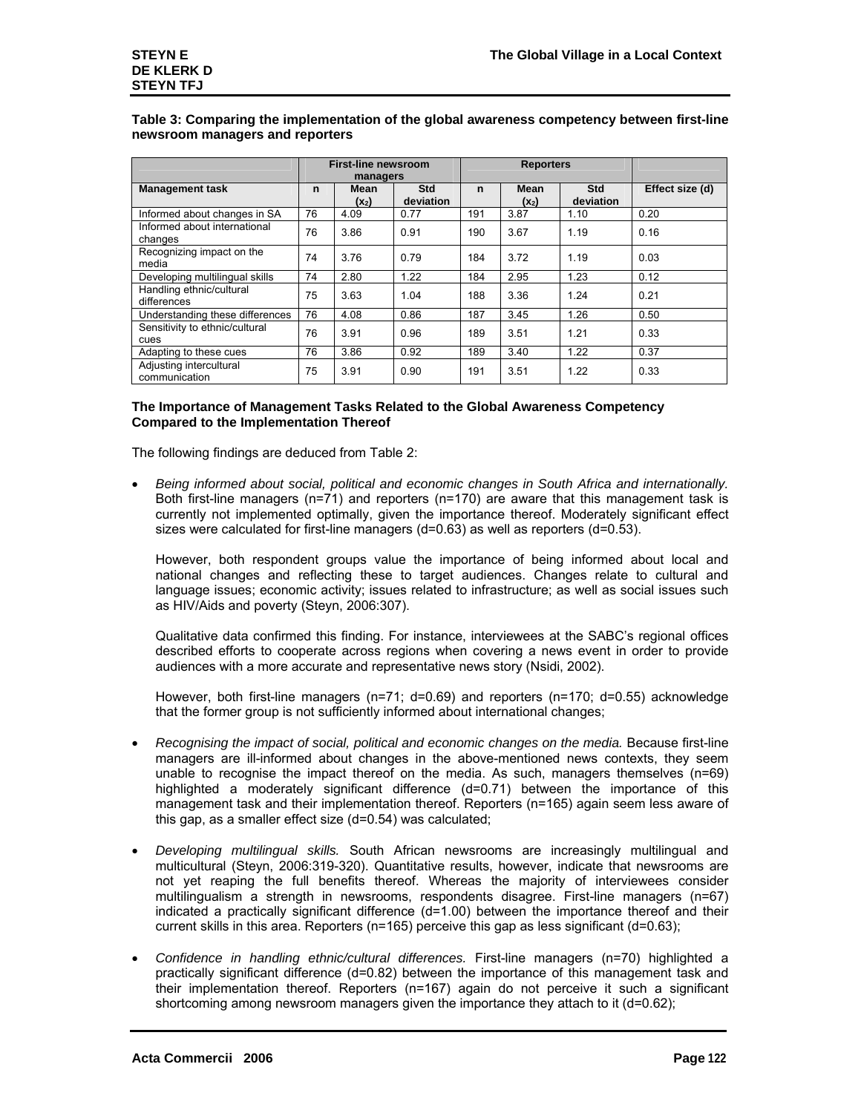# **Table 3: Comparing the implementation of the global awareness competency between first-line newsroom managers and reporters**

|                                          |    | <b>First-line newsroom</b><br>managers |                         |             | <b>Reporters</b> |                         |                 |
|------------------------------------------|----|----------------------------------------|-------------------------|-------------|------------------|-------------------------|-----------------|
| <b>Management task</b>                   | n  | Mean<br>$(x_2)$                        | <b>Std</b><br>deviation | $\mathbf n$ | Mean<br>$(x_2)$  | <b>Std</b><br>deviation | Effect size (d) |
| Informed about changes in SA             | 76 | 4.09                                   | 0.77                    | 191         | 3.87             | 1.10                    | 0.20            |
| Informed about international<br>changes  | 76 | 3.86                                   | 0.91                    | 190         | 3.67             | 1.19                    | 0.16            |
| Recognizing impact on the<br>media       | 74 | 3.76                                   | 0.79                    | 184         | 3.72             | 1.19                    | 0.03            |
| Developing multilingual skills           | 74 | 2.80                                   | 1.22                    | 184         | 2.95             | 1.23                    | 0.12            |
| Handling ethnic/cultural<br>differences  | 75 | 3.63                                   | 1.04                    | 188         | 3.36             | 1.24                    | 0.21            |
| Understanding these differences          | 76 | 4.08                                   | 0.86                    | 187         | 3.45             | 1.26                    | 0.50            |
| Sensitivity to ethnic/cultural<br>cues   | 76 | 3.91                                   | 0.96                    | 189         | 3.51             | 1.21                    | 0.33            |
| Adapting to these cues                   | 76 | 3.86                                   | 0.92                    | 189         | 3.40             | 1.22                    | 0.37            |
| Adjusting intercultural<br>communication | 75 | 3.91                                   | 0.90                    | 191         | 3.51             | 1.22                    | 0.33            |

## **The Importance of Management Tasks Related to the Global Awareness Competency Compared to the Implementation Thereof**

The following findings are deduced from Table 2:

• *Being informed about social, political and economic changes in South Africa and internationally.* Both first-line managers (n=71) and reporters (n=170) are aware that this management task is currently not implemented optimally, given the importance thereof. Moderately significant effect sizes were calculated for first-line managers (d=0.63) as well as reporters (d=0.53).

However, both respondent groups value the importance of being informed about local and national changes and reflecting these to target audiences. Changes relate to cultural and language issues; economic activity; issues related to infrastructure; as well as social issues such as HIV/Aids and poverty (Steyn, 2006:307).

Qualitative data confirmed this finding. For instance, interviewees at the SABC's regional offices described efforts to cooperate across regions when covering a news event in order to provide audiences with a more accurate and representative news story (Nsidi, 2002).

However, both first-line managers (n=71; d=0.69) and reporters (n=170; d=0.55) acknowledge that the former group is not sufficiently informed about international changes;

- *Recognising the impact of social, political and economic changes on the media.* Because first-line managers are ill-informed about changes in the above-mentioned news contexts, they seem unable to recognise the impact thereof on the media. As such, managers themselves  $(n=69)$ highlighted a moderately significant difference (d=0.71) between the importance of this management task and their implementation thereof. Reporters (n=165) again seem less aware of this gap, as a smaller effect size (d=0.54) was calculated;
- *Developing multilingual skills.* South African newsrooms are increasingly multilingual and multicultural (Steyn, 2006:319-320). Quantitative results, however, indicate that newsrooms are not yet reaping the full benefits thereof. Whereas the majority of interviewees consider multilingualism a strength in newsrooms, respondents disagree. First-line managers (n=67) indicated a practically significant difference (d=1.00) between the importance thereof and their current skills in this area. Reporters (n=165) perceive this gap as less significant (d=0.63);
- *Confidence in handling ethnic/cultural differences.* First-line managers (n=70) highlighted a practically significant difference (d=0.82) between the importance of this management task and their implementation thereof. Reporters (n=167) again do not perceive it such a significant shortcoming among newsroom managers given the importance they attach to it (d=0.62);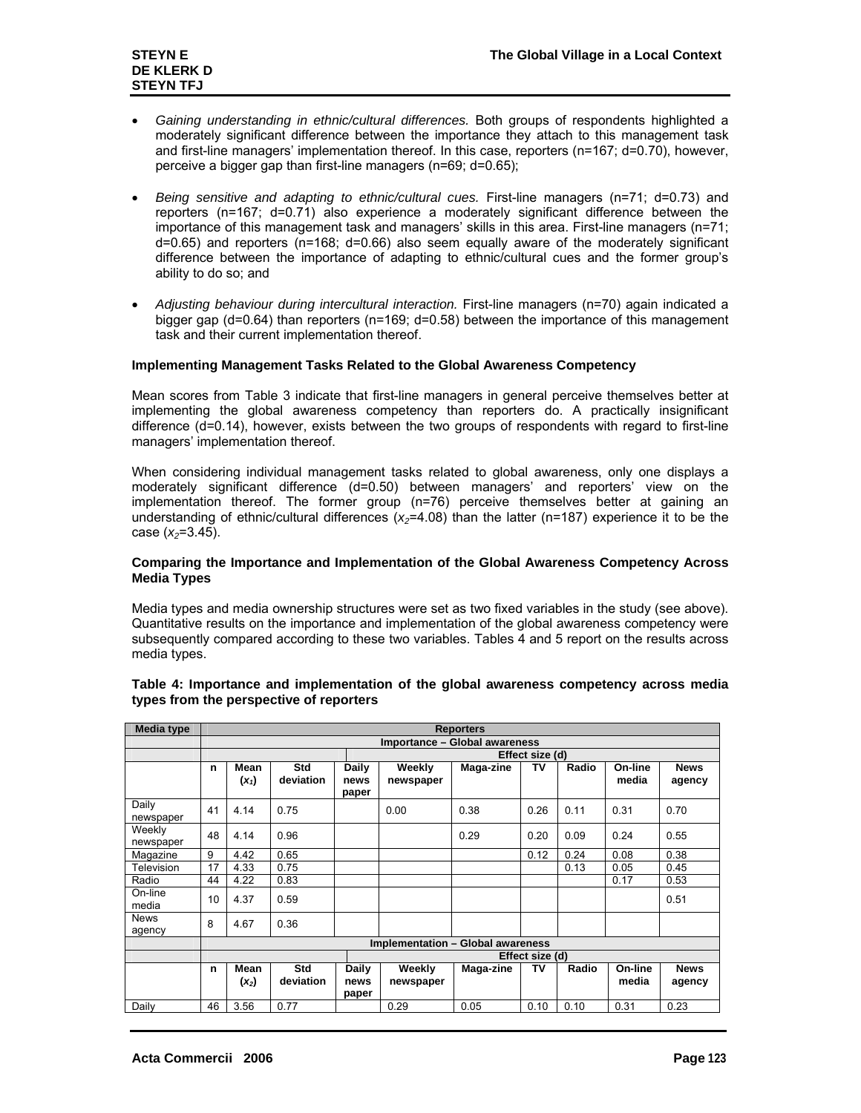- *Gaining understanding in ethnic/cultural differences.* Both groups of respondents highlighted a moderately significant difference between the importance they attach to this management task and first-line managers' implementation thereof. In this case, reporters (n=167; d=0.70), however, perceive a bigger gap than first-line managers (n=69; d=0.65);
- *Being sensitive and adapting to ethnic/cultural cues.* First-line managers (n=71; d=0.73) and reporters (n=167; d=0.71) also experience a moderately significant difference between the importance of this management task and managers' skills in this area. First-line managers (n=71; d=0.65) and reporters (n=168; d=0.66) also seem equally aware of the moderately significant difference between the importance of adapting to ethnic/cultural cues and the former group's ability to do so; and
- *Adjusting behaviour during intercultural interaction.* First-line managers (n=70) again indicated a bigger gap (d=0.64) than reporters (n=169; d=0.58) between the importance of this management task and their current implementation thereof.

# **Implementing Management Tasks Related to the Global Awareness Competency**

Mean scores from Table 3 indicate that first-line managers in general perceive themselves better at implementing the global awareness competency than reporters do. A practically insignificant difference (d=0.14), however, exists between the two groups of respondents with regard to first-line managers' implementation thereof.

When considering individual management tasks related to global awareness, only one displays a moderately significant difference (d=0.50) between managers' and reporters' view on the implementation thereof. The former group (n=76) perceive themselves better at gaining an understanding of ethnic/cultural differences  $(x<sub>2</sub>=4.08)$  than the latter (n=187) experience it to be the case (*x*<sub>2</sub>=3.45).

## **Comparing the Importance and Implementation of the Global Awareness Competency Across Media Types**

Media types and media ownership structures were set as two fixed variables in the study (see above). Quantitative results on the importance and implementation of the global awareness competency were subsequently compared according to these two variables. Tables 4 and 5 report on the results across media types.

| <b>Media type</b>     |    |                               |                         |                        |                                   | <b>Reporters</b> |                 |       |                  |                       |  |  |
|-----------------------|----|-------------------------------|-------------------------|------------------------|-----------------------------------|------------------|-----------------|-------|------------------|-----------------------|--|--|
|                       |    | Importance - Global awareness |                         |                        |                                   |                  |                 |       |                  |                       |  |  |
|                       |    | Effect size (d)               |                         |                        |                                   |                  |                 |       |                  |                       |  |  |
|                       | n  | Mean<br>$(x_1)$               | <b>Std</b><br>deviation | Daily<br>news<br>paper | Weekly<br>newspaper               | Maga-zine        | Т٧              | Radio | On-line<br>media | <b>News</b><br>agency |  |  |
| Daily<br>newspaper    | 41 | 4.14                          | 0.75                    |                        | 0.00                              | 0.38             | 0.26            | 0.11  | 0.31             | 0.70                  |  |  |
| Weekly<br>newspaper   | 48 | 4.14                          | 0.96                    |                        |                                   | 0.29             | 0.20            | 0.09  | 0.24             | 0.55                  |  |  |
| Magazine              | 9  | 4.42                          | 0.65                    |                        |                                   |                  | 0.12            | 0.24  | 0.08             | 0.38                  |  |  |
| Television            | 17 | 4.33                          | 0.75                    |                        |                                   |                  |                 | 0.13  | 0.05             | 0.45                  |  |  |
| Radio                 | 44 | 4.22                          | 0.83                    |                        |                                   |                  |                 |       | 0.17             | 0.53                  |  |  |
| On-line<br>media      | 10 | 4.37                          | 0.59                    |                        |                                   |                  |                 |       |                  | 0.51                  |  |  |
| <b>News</b><br>agency | 8  | 4.67                          | 0.36                    |                        |                                   |                  |                 |       |                  |                       |  |  |
|                       |    |                               |                         |                        | Implementation - Global awareness |                  |                 |       |                  |                       |  |  |
|                       |    |                               |                         |                        |                                   |                  | Effect size (d) |       |                  |                       |  |  |
|                       | n  | Mean<br>$(x_2)$               | Std<br>deviation        | Daily<br>news<br>paper | Weekly<br>newspaper               | Maga-zine        | Т٧              | Radio | On-line<br>media | <b>News</b><br>agency |  |  |
| Daily                 | 46 | 3.56                          | 0.77                    |                        | 0.29                              | 0.05             | 0.10            | 0.10  | 0.31             | 0.23                  |  |  |

#### **Table 4: Importance and implementation of the global awareness competency across media types from the perspective of reporters**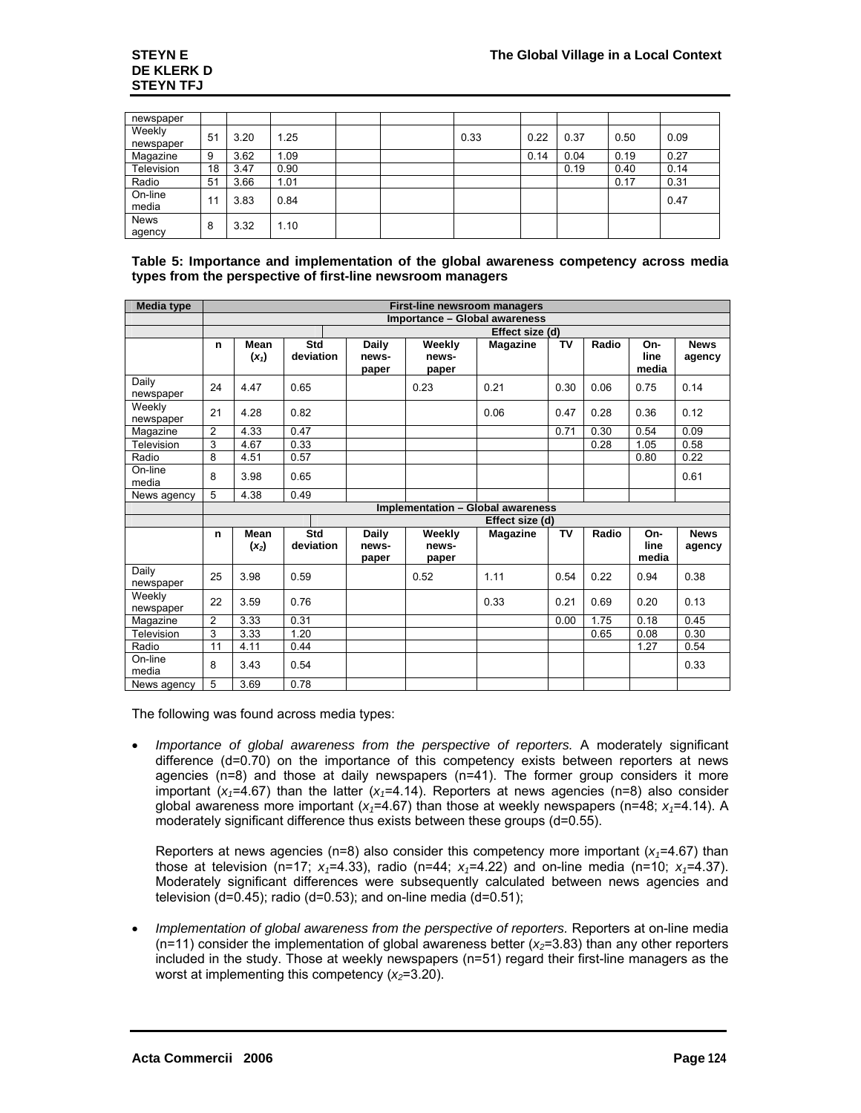| newspaper           |    |      |      |  |      |      |      |      |      |
|---------------------|----|------|------|--|------|------|------|------|------|
| Weekly<br>newspaper | 51 | 3.20 | 1.25 |  | 0.33 | 0.22 | 0.37 | 0.50 | 0.09 |
| Magazine            | 9  | 3.62 | 1.09 |  |      | 0.14 | 0.04 | 0.19 | 0.27 |
| Television          | 18 | 3.47 | 0.90 |  |      |      | 0.19 | 0.40 | 0.14 |
| Radio               | 51 | 3.66 | 1.01 |  |      |      |      | 0.17 | 0.31 |
| On-line<br>media    | 11 | 3.83 | 0.84 |  |      |      |      |      | 0.47 |
| News<br>agency      | 8  | 3.32 | 1.10 |  |      |      |      |      |      |

**Table 5: Importance and implementation of the global awareness competency across media types from the perspective of first-line newsroom managers** 

| <b>Media type</b>   |    |                 |                  |                                | First-line newsroom managers         |                 |           |       |                      |                       |
|---------------------|----|-----------------|------------------|--------------------------------|--------------------------------------|-----------------|-----------|-------|----------------------|-----------------------|
|                     |    |                 |                  |                                | <b>Importance - Global awareness</b> |                 |           |       |                      |                       |
|                     |    |                 |                  |                                |                                      | Effect size (d) |           |       |                      |                       |
|                     | n  | Mean<br>$(x_1)$ | Std<br>deviation | <b>Daily</b><br>news-<br>paper | Weekly<br>news-<br>paper             | <b>Magazine</b> | <b>TV</b> | Radio | On-<br>line<br>media | <b>News</b><br>agency |
| Daily<br>newspaper  | 24 | 4.47            | 0.65             |                                | 0.23                                 | 0.21            | 0.30      | 0.06  | 0.75                 | 0.14                  |
| Weekly<br>newspaper | 21 | 4.28            | 0.82             |                                |                                      | 0.06            | 0.47      | 0.28  | 0.36                 | 0.12                  |
| Magazine            | 2  | 4.33            | 0.47             |                                |                                      |                 | 0.71      | 0.30  | 0.54                 | 0.09                  |
| Television          | 3  | 4.67            | 0.33             |                                |                                      |                 |           | 0.28  | 1.05                 | 0.58                  |
| Radio               | 8  | 4.51            | 0.57             |                                |                                      |                 |           |       | 0.80                 | 0.22                  |
| On-line<br>media    | 8  | 3.98            | 0.65             |                                |                                      |                 |           |       |                      | 0.61                  |
| News agency         | 5  | 4.38            | 0.49             |                                |                                      |                 |           |       |                      |                       |
|                     |    |                 |                  |                                | Implementation - Global awareness    |                 |           |       |                      |                       |
|                     |    |                 |                  |                                |                                      | Effect size (d) |           |       |                      |                       |
|                     | n  | Mean<br>$(x_2)$ | Std<br>deviation | Daily<br>news-<br>paper        | Weekly<br>news-<br>paper             | <b>Magazine</b> | <b>TV</b> | Radio | On-<br>line<br>media | <b>News</b><br>agency |
| Daily<br>newspaper  | 25 | 3.98            | 0.59             |                                | 0.52                                 | 1.11            | 0.54      | 0.22  | 0.94                 | 0.38                  |
| Weekly<br>newspaper | 22 | 3.59            | 0.76             |                                |                                      | 0.33            | 0.21      | 0.69  | 0.20                 | 0.13                  |
| Magazine            | 2  | 3.33            | 0.31             |                                |                                      |                 | 0.00      | 1.75  | 0.18                 | 0.45                  |
| Television          | 3  | 3.33            | 1.20             |                                |                                      |                 |           | 0.65  | 0.08                 | 0.30                  |
| Radio               | 11 | 4.11            | 0.44             |                                |                                      |                 |           |       | 1.27                 | 0.54                  |
| On-line<br>media    | 8  | 3.43            | 0.54             |                                |                                      |                 |           |       |                      | 0.33                  |
| News agency         | 5  | 3.69            | 0.78             |                                |                                      |                 |           |       |                      |                       |

The following was found across media types:

• *Importance of global awareness from the perspective of reporters.* A moderately significant difference (d=0.70) on the importance of this competency exists between reporters at news agencies (n=8) and those at daily newspapers (n=41). The former group considers it more important  $(x_1=4.67)$  than the latter  $(x_1=4.14)$ . Reporters at news agencies (n=8) also consider global awareness more important  $(x_7=4.67)$  than those at weekly newspapers (n=48;  $x_7=4.14$ ). A moderately significant difference thus exists between these groups (d=0.55).

Reporters at news agencies ( $n=8$ ) also consider this competency more important ( $x_1=4.67$ ) than those at television (n=17;  $x_1=4.33$ ), radio (n=44;  $x_1=4.22$ ) and on-line media (n=10;  $x_1=4.37$ ). Moderately significant differences were subsequently calculated between news agencies and television (d=0.45); radio (d=0.53); and on-line media (d=0.51);

• *Implementation of global awareness from the perspective of reporters.* Reporters at on-line media  $(n=11)$  consider the implementation of global awareness better  $(x_2=3.83)$  than any other reporters included in the study. Those at weekly newspapers (n=51) regard their first-line managers as the worst at implementing this competency  $(x_2=3.20)$ .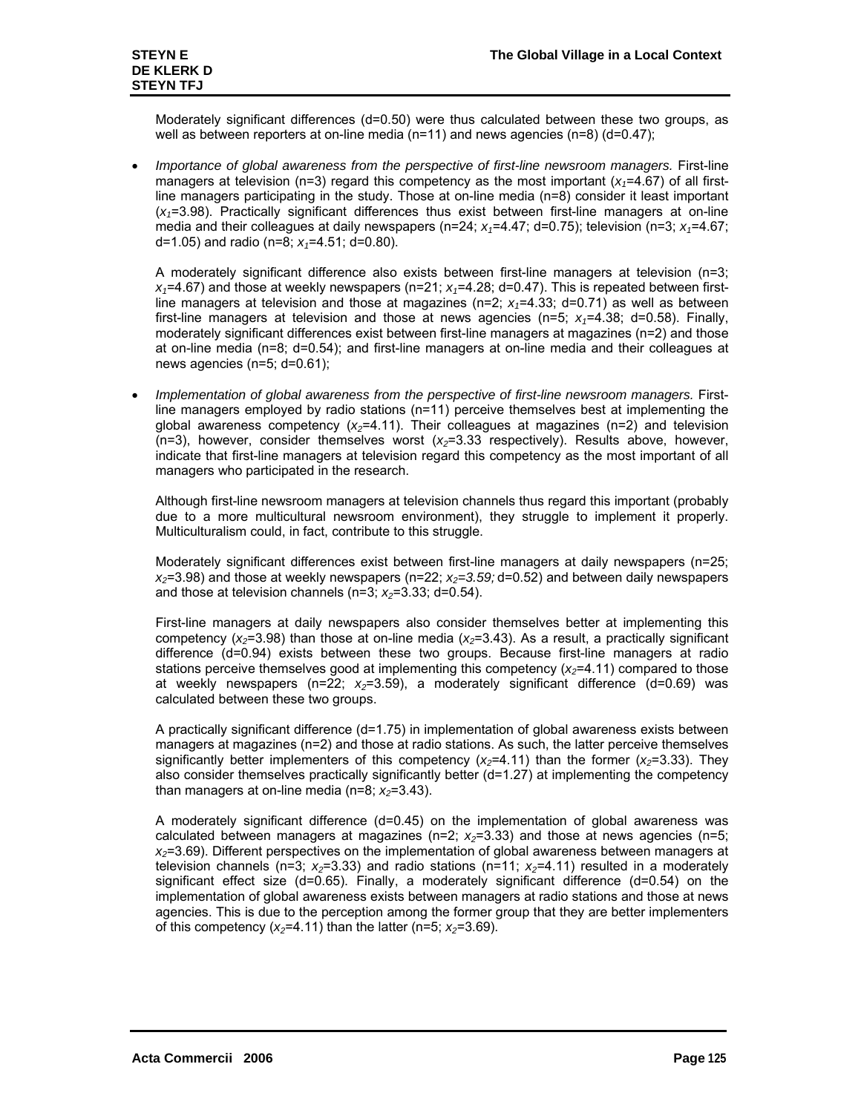Moderately significant differences (d=0.50) were thus calculated between these two groups, as well as between reporters at on-line media (n=11) and news agencies (n=8) (d=0.47);

*Importance of global awareness from the perspective of first-line newsroom managers.* First-line managers at television ( $n=3$ ) regard this competency as the most important ( $x_1=4.67$ ) of all firstline managers participating in the study. Those at on-line media (n=8) consider it least important (*x1*=3.98). Practically significant differences thus exist between first-line managers at on-line media and their colleagues at daily newspapers ( $n=24$ ;  $x_1=4.47$ ; d=0.75); television ( $n=3$ ;  $x_1=4.67$ ; d=1.05) and radio (n=8;  $x_1$ =4.51; d=0.80).

A moderately significant difference also exists between first-line managers at television (n=3;  $x_1$ =4.67) and those at weekly newspapers (n=21;  $x_1$ =4.28; d=0.47). This is repeated between firstline managers at television and those at magazines  $(n=2; x_7=4.33; d=0.71)$  as well as between first-line managers at television and those at news agencies ( $n=5$ ;  $x_1=4.38$ ; d=0.58). Finally, moderately significant differences exist between first-line managers at magazines (n=2) and those at on-line media (n=8; d=0.54); and first-line managers at on-line media and their colleagues at news agencies (n=5; d=0.61);

• *Implementation of global awareness from the perspective of first-line newsroom managers.* Firstline managers employed by radio stations (n=11) perceive themselves best at implementing the global awareness competency  $(x_2=4.11)$ . Their colleagues at magazines ( $n=2$ ) and television (n=3), however, consider themselves worst (*x2*=3.33 respectively). Results above, however, indicate that first-line managers at television regard this competency as the most important of all managers who participated in the research.

Although first-line newsroom managers at television channels thus regard this important (probably due to a more multicultural newsroom environment), they struggle to implement it properly. Multiculturalism could, in fact, contribute to this struggle.

Moderately significant differences exist between first-line managers at daily newspapers (n=25;  $x_2$ =3.98) and those at weekly newspapers (n=22;  $x_2$ =3.59; d=0.52) and between daily newspapers and those at television channels ( $n=3$ ;  $x_2=3.33$ ; d=0.54).

First-line managers at daily newspapers also consider themselves better at implementing this competency ( $x_2$ =3.98) than those at on-line media ( $x_2$ =3.43). As a result, a practically significant difference (d=0.94) exists between these two groups. Because first-line managers at radio stations perceive themselves good at implementing this competency  $(x_2=4.11)$  compared to those at weekly newspapers ( $n=22$ ;  $x_2=3.59$ ), a moderately significant difference ( $d=0.69$ ) was calculated between these two groups.

A practically significant difference (d=1.75) in implementation of global awareness exists between managers at magazines (n=2) and those at radio stations. As such, the latter perceive themselves significantly better implementers of this competency  $(x_2=4.11)$  than the former  $(x_2=3.33)$ . They also consider themselves practically significantly better (d=1.27) at implementing the competency than managers at on-line media ( $n=8$ ;  $x_2=3.43$ ).

A moderately significant difference (d=0.45) on the implementation of global awareness was calculated between managers at magazines  $(n=2; x_2=3.33)$  and those at news agencies  $(n=5;$ *x2*=3.69). Different perspectives on the implementation of global awareness between managers at television channels (n=3;  $x_2$ =3.33) and radio stations (n=11;  $x_2$ =4.11) resulted in a moderately significant effect size (d=0.65). Finally, a moderately significant difference (d=0.54) on the implementation of global awareness exists between managers at radio stations and those at news agencies. This is due to the perception among the former group that they are better implementers of this competency  $(x_2=4.11)$  than the latter (n=5;  $x_2=3.69$ ).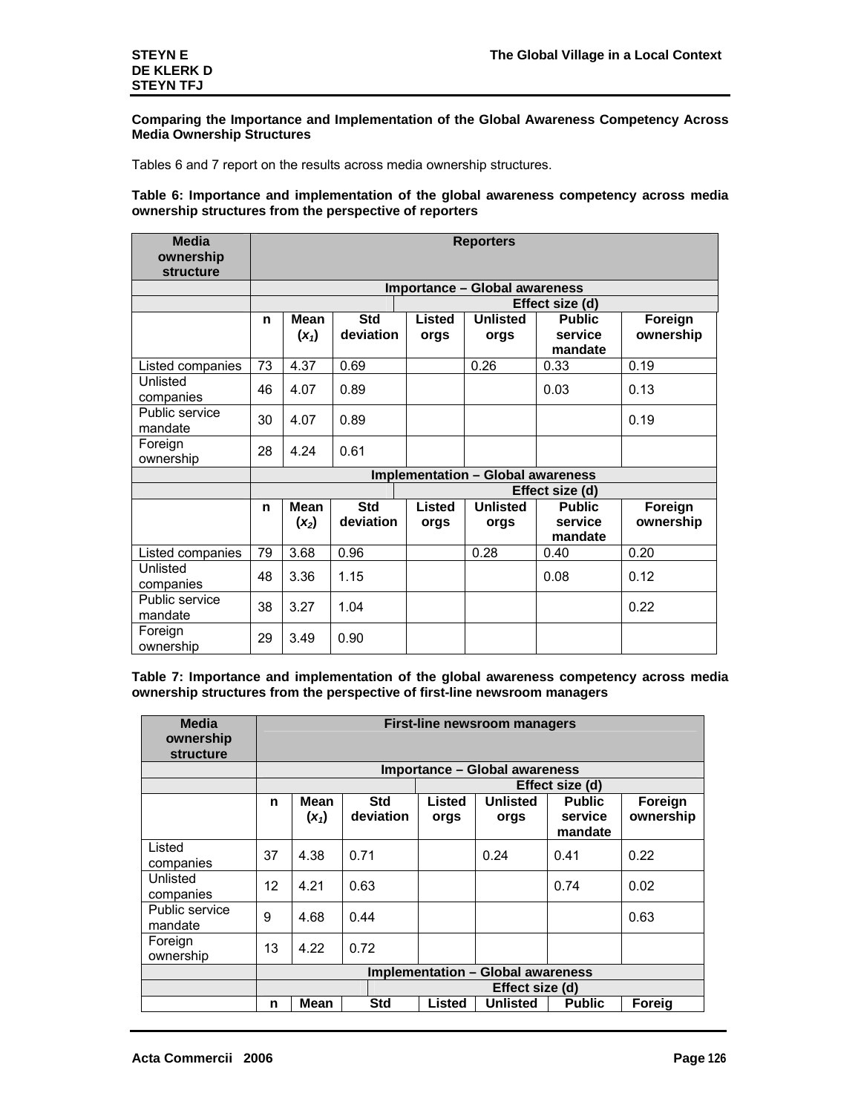## **Comparing the Importance and Implementation of the Global Awareness Competency Across Media Ownership Structures**

Tables 6 and 7 report on the results across media ownership structures.

## **Table 6: Importance and implementation of the global awareness competency across media ownership structures from the perspective of reporters**

| <b>Media</b><br>ownership<br><b>structure</b> |    | <b>Reporters</b>                     |                         |                |                                          |                                     |                      |  |  |  |  |  |
|-----------------------------------------------|----|--------------------------------------|-------------------------|----------------|------------------------------------------|-------------------------------------|----------------------|--|--|--|--|--|
|                                               |    | <b>Importance - Global awareness</b> |                         |                |                                          |                                     |                      |  |  |  |  |  |
|                                               |    |                                      |                         |                |                                          | Effect size (d)                     |                      |  |  |  |  |  |
|                                               | n  | <b>Mean</b><br>$(x_1)$               | <b>Std</b><br>deviation | Listed<br>orgs | <b>Unlisted</b><br>orgs                  | <b>Public</b><br>service<br>mandate | Foreign<br>ownership |  |  |  |  |  |
| Listed companies                              | 73 | 4.37                                 | 0.69                    |                | 0.26                                     | 0.33                                | 0.19                 |  |  |  |  |  |
| Unlisted<br>companies                         | 46 | 4.07                                 | 0.89                    |                |                                          | 0.03                                | 0.13                 |  |  |  |  |  |
| Public service<br>mandate                     | 30 | 4.07                                 | 0.89                    |                |                                          |                                     | 0.19                 |  |  |  |  |  |
| Foreign<br>ownership                          | 28 | 4.24                                 | 0.61                    |                |                                          |                                     |                      |  |  |  |  |  |
|                                               |    |                                      |                         |                | <b>Implementation - Global awareness</b> |                                     |                      |  |  |  |  |  |
|                                               |    |                                      |                         |                |                                          | Effect size (d)                     |                      |  |  |  |  |  |
|                                               | n  | <b>Mean</b><br>$(x_2)$               | <b>Std</b><br>deviation | Listed<br>orgs | <b>Unlisted</b><br>orgs                  | <b>Public</b><br>service<br>mandate | Foreign<br>ownership |  |  |  |  |  |
| Listed companies                              | 79 | 3.68                                 | 0.96                    |                | 0.28                                     | 0.40                                | 0.20                 |  |  |  |  |  |
| Unlisted<br>companies                         | 48 | 3.36                                 | 1.15                    |                |                                          | 0.08                                | 0.12                 |  |  |  |  |  |
| Public service<br>mandate                     | 38 | 3.27                                 | 1.04                    |                |                                          |                                     | 0.22                 |  |  |  |  |  |
| Foreign<br>ownership                          | 29 | 3.49                                 | 0.90                    |                |                                          |                                     |                      |  |  |  |  |  |

**Table 7: Importance and implementation of the global awareness competency across media ownership structures from the perspective of first-line newsroom managers** 

| <b>Media</b><br>ownership<br><b>structure</b> |    | <b>First-line newsroom managers</b>  |                         |                |                                          |                                     |                      |  |  |  |  |  |
|-----------------------------------------------|----|--------------------------------------|-------------------------|----------------|------------------------------------------|-------------------------------------|----------------------|--|--|--|--|--|
|                                               |    | <b>Importance - Global awareness</b> |                         |                |                                          |                                     |                      |  |  |  |  |  |
|                                               |    |                                      |                         |                |                                          | Effect size (d)                     |                      |  |  |  |  |  |
|                                               | n  | Mean<br>$(x_1)$                      | <b>Std</b><br>deviation | Listed<br>orgs | <b>Unlisted</b><br>orgs                  | <b>Public</b><br>service<br>mandate | Foreign<br>ownership |  |  |  |  |  |
| Listed<br>companies                           | 37 | 4.38                                 | 0.71                    |                | 0.24                                     | 0.41                                | 0.22                 |  |  |  |  |  |
| Unlisted<br>companies                         | 12 | 4.21                                 | 0.63                    |                |                                          | 0.74                                | 0.02                 |  |  |  |  |  |
| Public service<br>mandate                     | 9  | 4.68                                 | 0.44                    |                |                                          |                                     | 0.63                 |  |  |  |  |  |
| Foreign<br>ownership                          | 13 | 4.22                                 | 0.72                    |                |                                          |                                     |                      |  |  |  |  |  |
|                                               |    |                                      |                         |                | <b>Implementation - Global awareness</b> |                                     |                      |  |  |  |  |  |
|                                               |    |                                      |                         |                | Effect size (d)                          |                                     |                      |  |  |  |  |  |
|                                               | n  | <b>Mean</b>                          | <b>Std</b>              | Listed         | <b>Unlisted</b>                          | <b>Public</b>                       | Foreig               |  |  |  |  |  |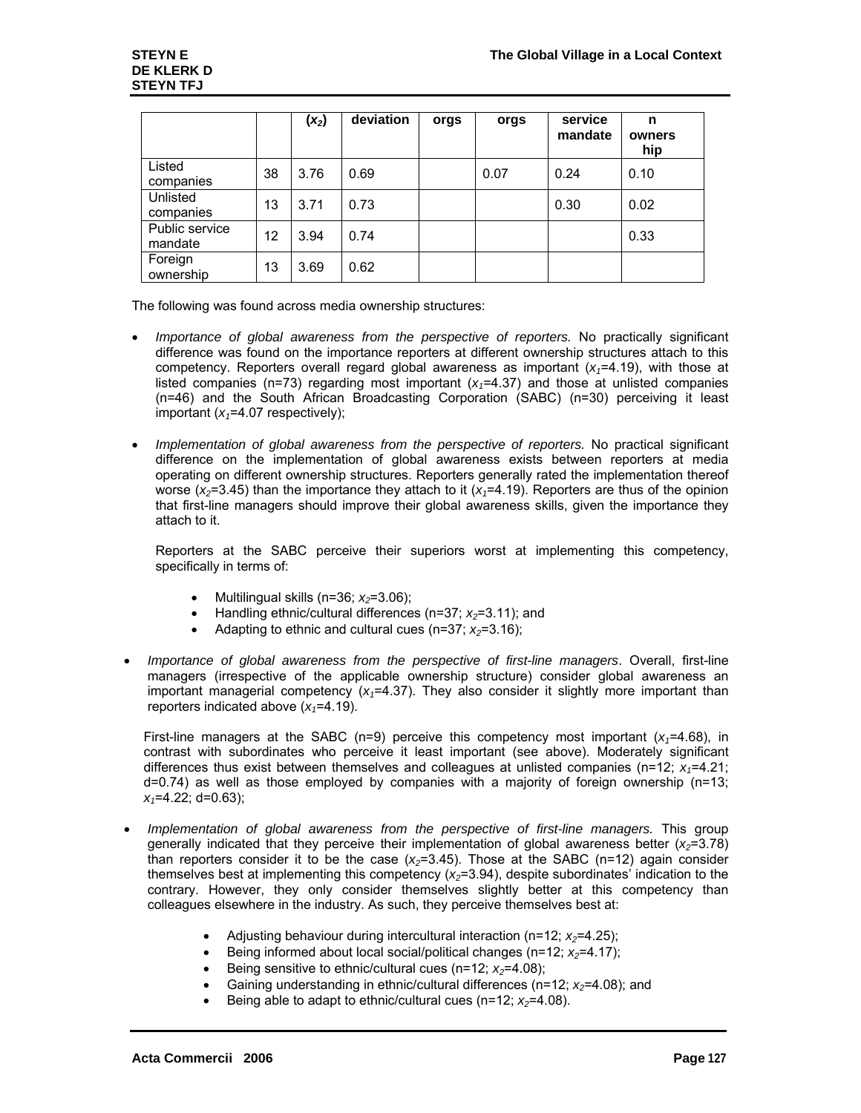|                           |    | $(x_2)$ | deviation | orgs | orgs | service<br>mandate | n<br>owners<br>hip |
|---------------------------|----|---------|-----------|------|------|--------------------|--------------------|
| Listed<br>companies       | 38 | 3.76    | 0.69      |      | 0.07 | 0.24               | 0.10               |
| Unlisted<br>companies     | 13 | 3.71    | 0.73      |      |      | 0.30               | 0.02               |
| Public service<br>mandate | 12 | 3.94    | 0.74      |      |      |                    | 0.33               |
| Foreign<br>ownership      | 13 | 3.69    | 0.62      |      |      |                    |                    |

The following was found across media ownership structures:

- *Importance of global awareness from the perspective of reporters.* No practically significant difference was found on the importance reporters at different ownership structures attach to this competency. Reporters overall regard global awareness as important  $(x_1=4.19)$ , with those at listed companies ( $n=73$ ) regarding most important ( $x<sub>1</sub>=4.37$ ) and those at unlisted companies (n=46) and the South African Broadcasting Corporation (SABC) (n=30) perceiving it least important  $(x_1=4.07$  respectively);
- *Implementation of global awareness from the perspective of reporters.* No practical significant difference on the implementation of global awareness exists between reporters at media operating on different ownership structures. Reporters generally rated the implementation thereof worse ( $x_2$ =3.45) than the importance they attach to it ( $x_1$ =4.19). Reporters are thus of the opinion that first-line managers should improve their global awareness skills, given the importance they attach to it.

Reporters at the SABC perceive their superiors worst at implementing this competency, specifically in terms of:

- Multilingual skills  $(n=36; x_2=3.06)$ ;
- Handling ethnic/cultural differences (n=37; *x*<sub>2</sub>=3.11); and
- Adapting to ethnic and cultural cues (n=37;  $x_2$ =3.16);
- *Importance of global awareness from the perspective of first-line managers*. Overall, first-line managers (irrespective of the applicable ownership structure) consider global awareness an important managerial competency  $(x_1=4.37)$ . They also consider it slightly more important than reporters indicated above  $(x_1=4.19)$ .

First-line managers at the SABC (n=9) perceive this competency most important  $(x_7=4.68)$ , in contrast with subordinates who perceive it least important (see above). Moderately significant differences thus exist between themselves and colleagues at unlisted companies ( $n=12$ ;  $x_1=4.21$ ; d=0.74) as well as those employed by companies with a majority of foreign ownership (n=13; *x1*=4.22; d=0.63);

- *Implementation of global awareness from the perspective of first-line managers.* This group generally indicated that they perceive their implementation of global awareness better  $(x_2=3.78)$ than reporters consider it to be the case  $(x_2=3.45)$ . Those at the SABC (n=12) again consider themselves best at implementing this competency  $(x_2=3.94)$ , despite subordinates' indication to the contrary. However, they only consider themselves slightly better at this competency than colleagues elsewhere in the industry. As such, they perceive themselves best at:
	- Adjusting behaviour during intercultural interaction ( $n=12$ ;  $x_2=4.25$ );
	- Being informed about local social/political changes (n=12; *x<sub>2</sub>*=4.17);
	- Being sensitive to ethnic/cultural cues (n=12; *x*<sub>2</sub>=4.08);
	- Gaining understanding in ethnic/cultural differences (n=12; *x<sub>2</sub>*=4.08); and
	- Being able to adapt to ethnic/cultural cues  $(n=12; x_2=4.08)$ .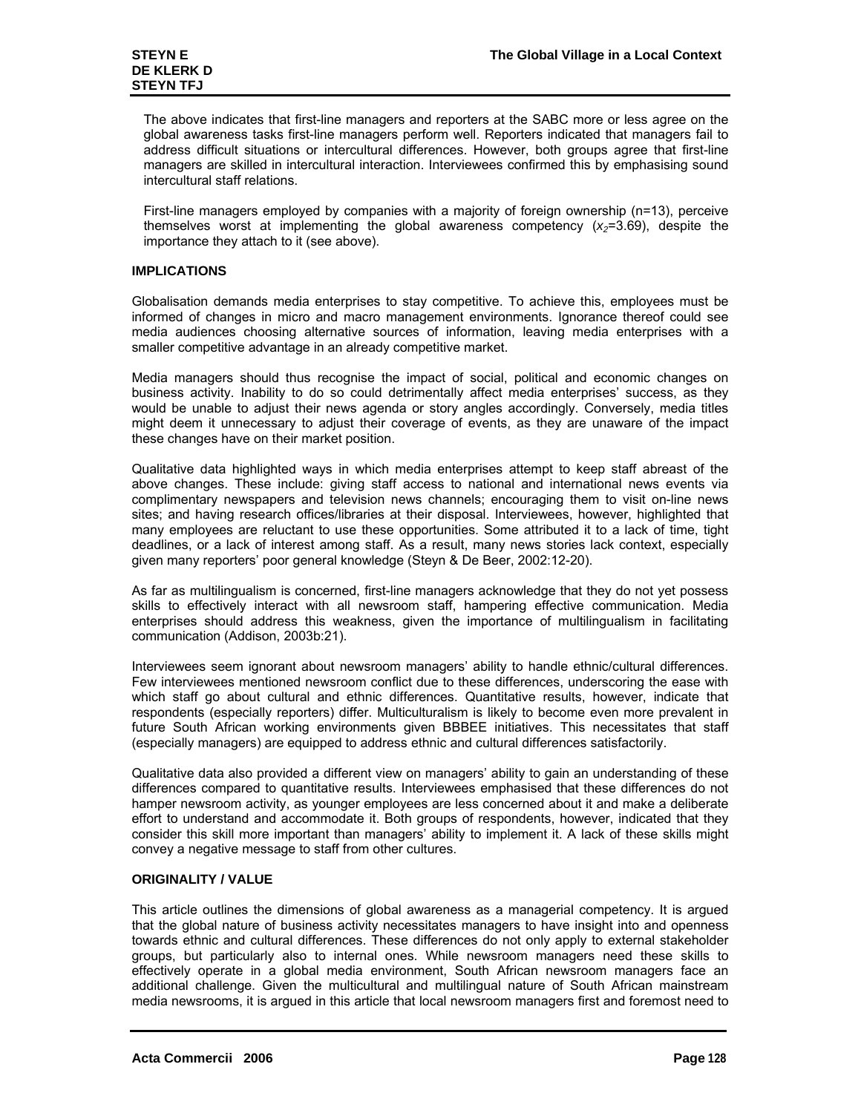The above indicates that first-line managers and reporters at the SABC more or less agree on the global awareness tasks first-line managers perform well. Reporters indicated that managers fail to address difficult situations or intercultural differences. However, both groups agree that first-line managers are skilled in intercultural interaction. Interviewees confirmed this by emphasising sound intercultural staff relations.

First-line managers employed by companies with a majority of foreign ownership (n=13), perceive themselves worst at implementing the global awareness competency  $(x_2=3.69)$ , despite the importance they attach to it (see above).

# **IMPLICATIONS**

Globalisation demands media enterprises to stay competitive. To achieve this, employees must be informed of changes in micro and macro management environments. Ignorance thereof could see media audiences choosing alternative sources of information, leaving media enterprises with a smaller competitive advantage in an already competitive market.

Media managers should thus recognise the impact of social, political and economic changes on business activity. Inability to do so could detrimentally affect media enterprises' success, as they would be unable to adjust their news agenda or story angles accordingly. Conversely, media titles might deem it unnecessary to adjust their coverage of events, as they are unaware of the impact these changes have on their market position.

Qualitative data highlighted ways in which media enterprises attempt to keep staff abreast of the above changes. These include: giving staff access to national and international news events via complimentary newspapers and television news channels; encouraging them to visit on-line news sites; and having research offices/libraries at their disposal. Interviewees, however, highlighted that many employees are reluctant to use these opportunities. Some attributed it to a lack of time, tight deadlines, or a lack of interest among staff. As a result, many news stories lack context, especially given many reporters' poor general knowledge (Steyn & De Beer, 2002:12-20).

As far as multilingualism is concerned, first-line managers acknowledge that they do not yet possess skills to effectively interact with all newsroom staff, hampering effective communication. Media enterprises should address this weakness, given the importance of multilingualism in facilitating communication (Addison, 2003b:21).

Interviewees seem ignorant about newsroom managers' ability to handle ethnic/cultural differences. Few interviewees mentioned newsroom conflict due to these differences, underscoring the ease with which staff go about cultural and ethnic differences. Quantitative results, however, indicate that respondents (especially reporters) differ. Multiculturalism is likely to become even more prevalent in future South African working environments given BBBEE initiatives. This necessitates that staff (especially managers) are equipped to address ethnic and cultural differences satisfactorily.

Qualitative data also provided a different view on managers' ability to gain an understanding of these differences compared to quantitative results. Interviewees emphasised that these differences do not hamper newsroom activity, as younger employees are less concerned about it and make a deliberate effort to understand and accommodate it. Both groups of respondents, however, indicated that they consider this skill more important than managers' ability to implement it. A lack of these skills might convey a negative message to staff from other cultures.

# **ORIGINALITY / VALUE**

This article outlines the dimensions of global awareness as a managerial competency. It is argued that the global nature of business activity necessitates managers to have insight into and openness towards ethnic and cultural differences. These differences do not only apply to external stakeholder groups, but particularly also to internal ones. While newsroom managers need these skills to effectively operate in a global media environment, South African newsroom managers face an additional challenge. Given the multicultural and multilingual nature of South African mainstream media newsrooms, it is argued in this article that local newsroom managers first and foremost need to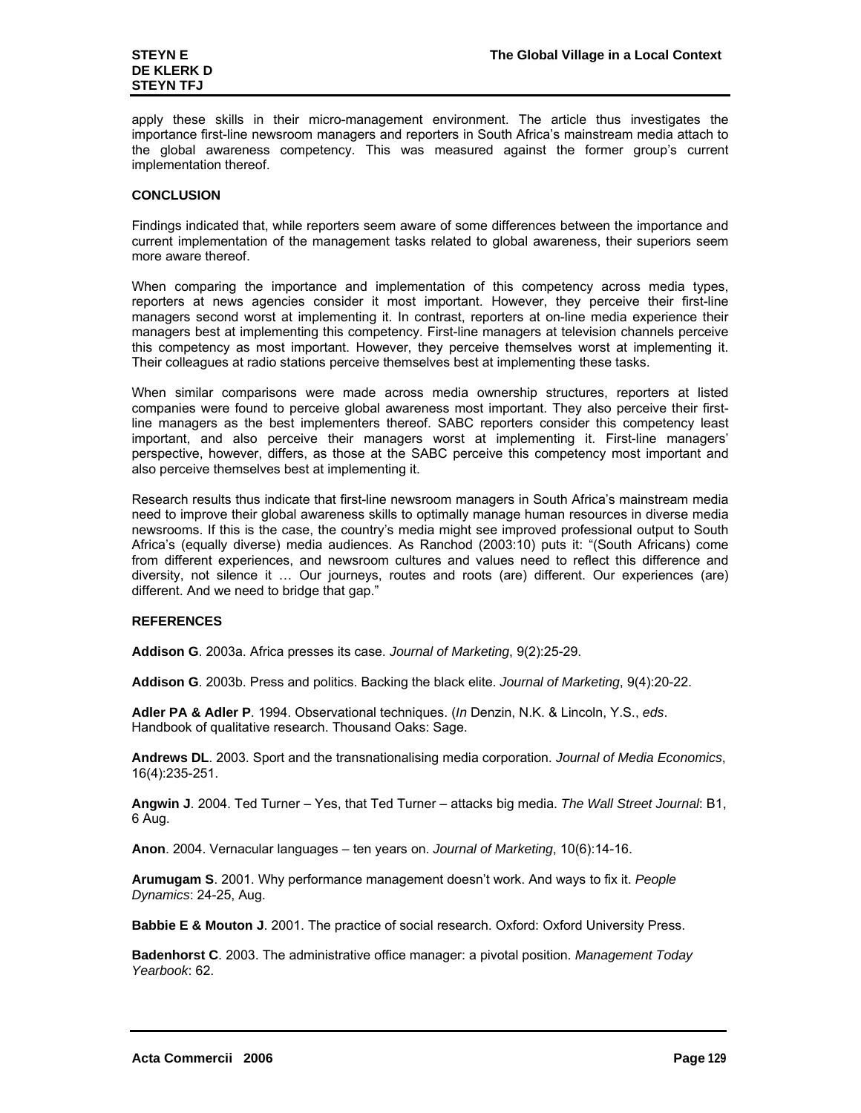apply these skills in their micro-management environment. The article thus investigates the importance first-line newsroom managers and reporters in South Africa's mainstream media attach to the global awareness competency. This was measured against the former group's current implementation thereof.

# **CONCLUSION**

Findings indicated that, while reporters seem aware of some differences between the importance and current implementation of the management tasks related to global awareness, their superiors seem more aware thereof.

When comparing the importance and implementation of this competency across media types, reporters at news agencies consider it most important. However, they perceive their first-line managers second worst at implementing it. In contrast, reporters at on-line media experience their managers best at implementing this competency. First-line managers at television channels perceive this competency as most important. However, they perceive themselves worst at implementing it. Their colleagues at radio stations perceive themselves best at implementing these tasks.

When similar comparisons were made across media ownership structures, reporters at listed companies were found to perceive global awareness most important. They also perceive their firstline managers as the best implementers thereof. SABC reporters consider this competency least important, and also perceive their managers worst at implementing it. First-line managers' perspective, however, differs, as those at the SABC perceive this competency most important and also perceive themselves best at implementing it.

Research results thus indicate that first-line newsroom managers in South Africa's mainstream media need to improve their global awareness skills to optimally manage human resources in diverse media newsrooms. If this is the case, the country's media might see improved professional output to South Africa's (equally diverse) media audiences. As Ranchod (2003:10) puts it: "(South Africans) come from different experiences, and newsroom cultures and values need to reflect this difference and diversity, not silence it … Our journeys, routes and roots (are) different. Our experiences (are) different. And we need to bridge that gap."

# **REFERENCES**

**Addison G**. 2003a. Africa presses its case. *Journal of Marketing*, 9(2):25-29.

**Addison G**. 2003b. Press and politics. Backing the black elite. *Journal of Marketing*, 9(4):20-22.

**Adler PA & Adler P**. 1994. Observational techniques. (*In* Denzin, N.K. & Lincoln, Y.S., *eds*. Handbook of qualitative research. Thousand Oaks: Sage.

**Andrews DL**. 2003. Sport and the transnationalising media corporation. *Journal of Media Economics*, 16(4):235-251.

**Angwin J**. 2004. Ted Turner – Yes, that Ted Turner – attacks big media. *The Wall Street Journal*: B1, 6 Aug.

**Anon**. 2004. Vernacular languages – ten years on. *Journal of Marketing*, 10(6):14-16.

**Arumugam S**. 2001. Why performance management doesn't work. And ways to fix it. *People Dynamics*: 24-25, Aug.

**Babbie E & Mouton J**. 2001. The practice of social research. Oxford: Oxford University Press.

**Badenhorst C**. 2003. The administrative office manager: a pivotal position. *Management Today Yearbook*: 62.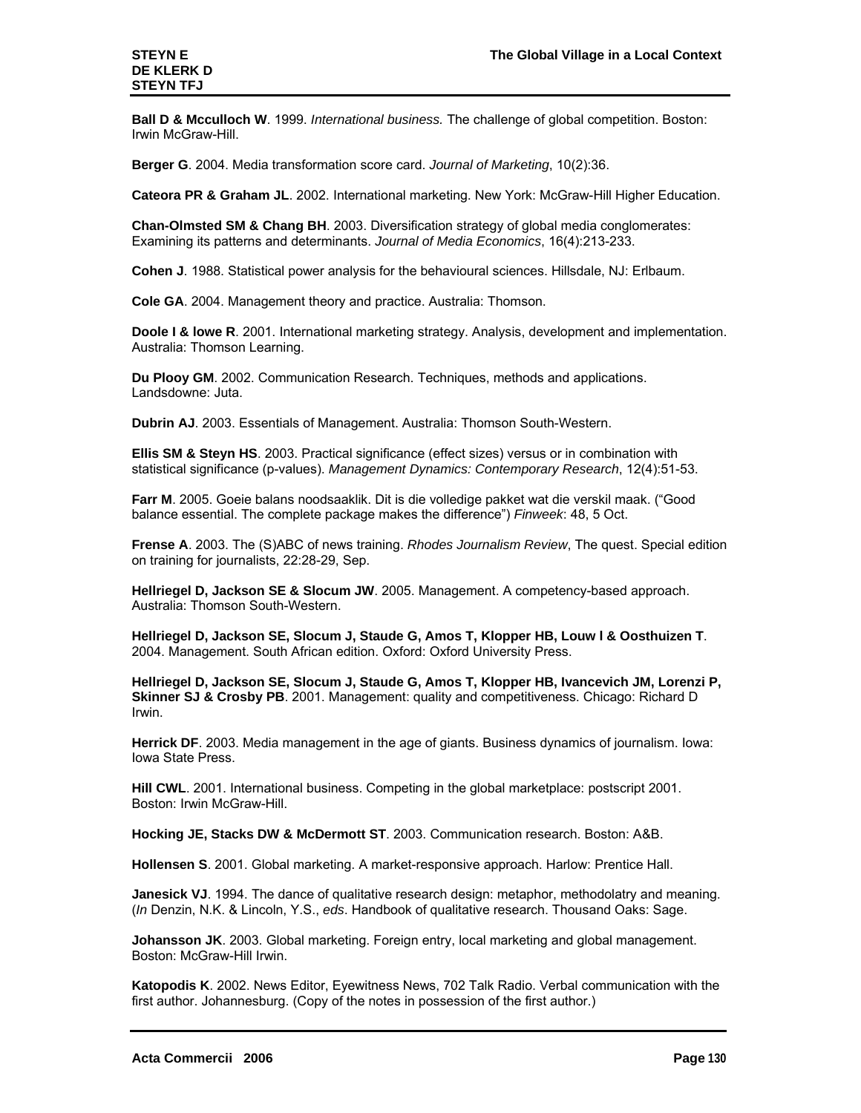**Ball D & Mcculloch W**. 1999. *International business.* The challenge of global competition. Boston: Irwin McGraw-Hill.

**Berger G**. 2004. Media transformation score card. *Journal of Marketing*, 10(2):36.

**Cateora PR & Graham JL**. 2002. International marketing. New York: McGraw-Hill Higher Education.

**Chan-Olmsted SM & Chang BH**. 2003. Diversification strategy of global media conglomerates: Examining its patterns and determinants. *Journal of Media Economics*, 16(4):213-233.

**Cohen J**. 1988. Statistical power analysis for the behavioural sciences. Hillsdale, NJ: Erlbaum.

**Cole GA**. 2004. Management theory and practice. Australia: Thomson.

**Doole I & lowe R**. 2001. International marketing strategy. Analysis, development and implementation. Australia: Thomson Learning.

**Du Plooy GM**. 2002. Communication Research. Techniques, methods and applications. Landsdowne: Juta.

**Dubrin AJ**. 2003. Essentials of Management. Australia: Thomson South-Western.

**Ellis SM & Steyn HS**. 2003. Practical significance (effect sizes) versus or in combination with statistical significance (p-values). *Management Dynamics: Contemporary Research*, 12(4):51-53.

**Farr M**. 2005. Goeie balans noodsaaklik. Dit is die volledige pakket wat die verskil maak. ("Good balance essential. The complete package makes the difference") *Finweek*: 48, 5 Oct.

**Frense A**. 2003. The (S)ABC of news training. *Rhodes Journalism Review*, The quest. Special edition on training for journalists, 22:28-29, Sep.

**Hellriegel D, Jackson SE & Slocum JW**. 2005. Management. A competency-based approach. Australia: Thomson South-Western.

**Hellriegel D, Jackson SE, Slocum J, Staude G, Amos T, Klopper HB, Louw l & Oosthuizen T**. 2004. Management. South African edition. Oxford: Oxford University Press.

**Hellriegel D, Jackson SE, Slocum J, Staude G, Amos T, Klopper HB, Ivancevich JM, Lorenzi P, Skinner SJ & Crosby PB**. 2001. Management: quality and competitiveness. Chicago: Richard D Irwin.

**Herrick DF**. 2003. Media management in the age of giants. Business dynamics of journalism. Iowa: Iowa State Press.

**Hill CWL**. 2001. International business. Competing in the global marketplace: postscript 2001. Boston: Irwin McGraw-Hill.

**Hocking JE, Stacks DW & McDermott ST**. 2003. Communication research. Boston: A&B.

**Hollensen S**. 2001. Global marketing. A market-responsive approach. Harlow: Prentice Hall.

**Janesick VJ**. 1994. The dance of qualitative research design: metaphor, methodolatry and meaning. (*In* Denzin, N.K. & Lincoln, Y.S., *eds*. Handbook of qualitative research. Thousand Oaks: Sage.

**Johansson JK**. 2003. Global marketing. Foreign entry, local marketing and global management. Boston: McGraw-Hill Irwin.

**Katopodis K**. 2002. News Editor, Eyewitness News, 702 Talk Radio. Verbal communication with the first author. Johannesburg. (Copy of the notes in possession of the first author.)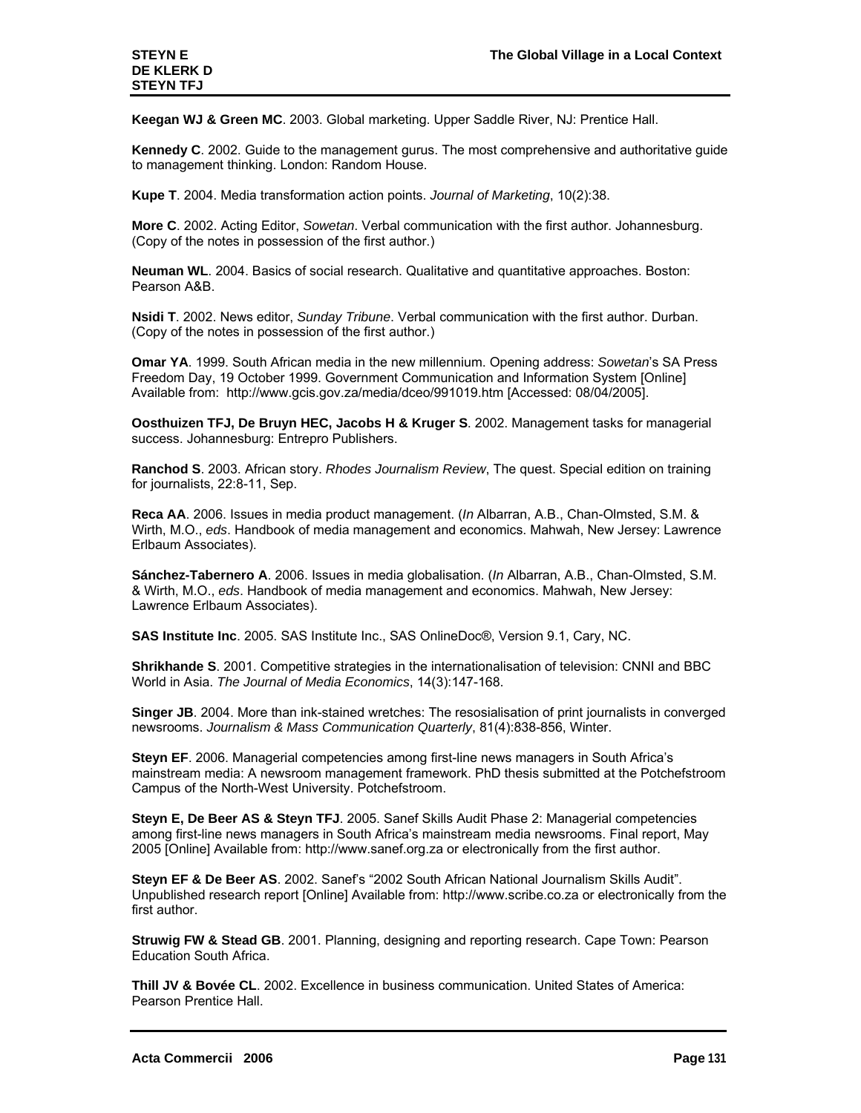**Keegan WJ & Green MC**. 2003. Global marketing. Upper Saddle River, NJ: Prentice Hall.

**Kennedy C**. 2002. Guide to the management gurus. The most comprehensive and authoritative guide to management thinking. London: Random House.

**Kupe T**. 2004. Media transformation action points. *Journal of Marketing*, 10(2):38.

**More C**. 2002. Acting Editor, *Sowetan*. Verbal communication with the first author. Johannesburg. (Copy of the notes in possession of the first author.)

**Neuman WL**. 2004. Basics of social research. Qualitative and quantitative approaches. Boston: Pearson A&B.

**Nsidi T**. 2002. News editor, *Sunday Tribune*. Verbal communication with the first author. Durban. (Copy of the notes in possession of the first author.)

**Omar YA**. 1999. South African media in the new millennium. Opening address: *Sowetan*'s SA Press Freedom Day, 19 October 1999. Government Communication and Information System [Online] Available from: http://www.gcis.gov.za/media/dceo/991019.htm [Accessed: 08/04/2005].

**Oosthuizen TFJ, De Bruyn HEC, Jacobs H & Kruger S**. 2002. Management tasks for managerial success. Johannesburg: Entrepro Publishers.

**Ranchod S**. 2003. African story. *Rhodes Journalism Review*, The quest. Special edition on training for journalists, 22:8-11, Sep.

**Reca AA**. 2006. Issues in media product management. (*In* Albarran, A.B., Chan-Olmsted, S.M. & Wirth, M.O., *eds*. Handbook of media management and economics. Mahwah, New Jersey: Lawrence Erlbaum Associates).

**Sánchez-Tabernero A**. 2006. Issues in media globalisation. (*In* Albarran, A.B., Chan-Olmsted, S.M. & Wirth, M.O., *eds*. Handbook of media management and economics. Mahwah, New Jersey: Lawrence Erlbaum Associates).

**SAS Institute Inc**. 2005. SAS Institute Inc., SAS OnlineDoc®, Version 9.1, Cary, NC.

**Shrikhande S**. 2001. Competitive strategies in the internationalisation of television: CNNI and BBC World in Asia. *The Journal of Media Economics*, 14(3):147-168.

**Singer JB**. 2004. More than ink-stained wretches: The resosialisation of print journalists in converged newsrooms. *Journalism & Mass Communication Quarterly*, 81(4):838-856, Winter.

**Steyn EF**. 2006. Managerial competencies among first-line news managers in South Africa's mainstream media: A newsroom management framework. PhD thesis submitted at the Potchefstroom Campus of the North-West University. Potchefstroom.

**Steyn E, De Beer AS & Steyn TFJ**. 2005. Sanef Skills Audit Phase 2: Managerial competencies among first-line news managers in South Africa's mainstream media newsrooms. Final report, May 2005 [Online] Available from: http://www.sanef.org.za or electronically from the first author.

**Steyn EF & De Beer AS**. 2002. Sanef's "2002 South African National Journalism Skills Audit". Unpublished research report [Online] Available from: http://www.scribe.co.za or electronically from the first author.

**Struwig FW & Stead GB**. 2001. Planning, designing and reporting research. Cape Town: Pearson Education South Africa.

**Thill JV & Bovée CL**. 2002. Excellence in business communication. United States of America: Pearson Prentice Hall.